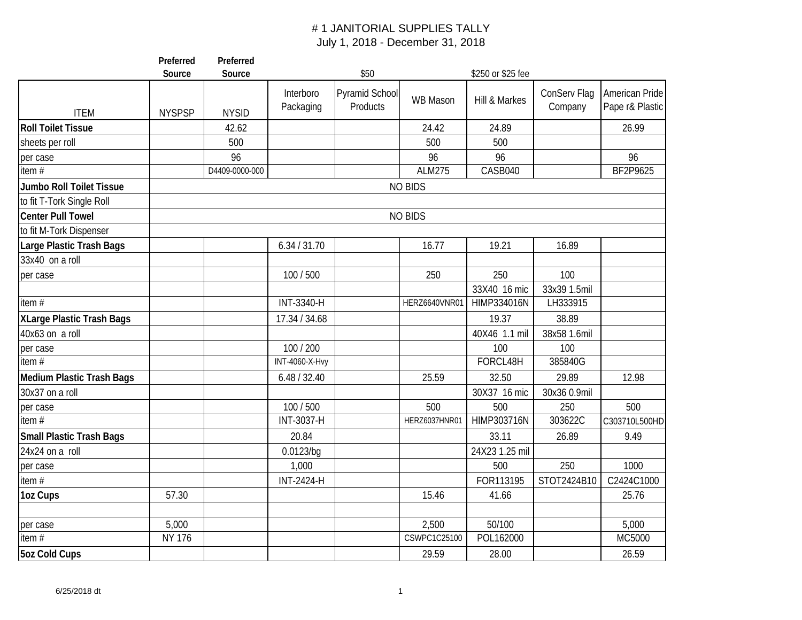|                                  | Preferred<br>Source | Preferred<br>Source |                       | \$50           |                | \$250 or \$25 fee |              |                 |
|----------------------------------|---------------------|---------------------|-----------------------|----------------|----------------|-------------------|--------------|-----------------|
|                                  |                     |                     |                       |                |                |                   |              |                 |
|                                  |                     |                     | Interboro             | Pyramid School | WB Mason       | Hill & Markes     | ConServ Flag | American Pride  |
| <b>ITEM</b>                      | <b>NYSPSP</b>       | <b>NYSID</b>        | Packaging             | Products       |                |                   | Company      | Pape r& Plastic |
| <b>Roll Toilet Tissue</b>        |                     | 42.62               |                       |                | 24.42          | 24.89             |              | 26.99           |
| sheets per roll                  |                     | 500                 |                       |                | 500            | 500               |              |                 |
| per case                         |                     | 96                  |                       |                | 96             | 96                |              | 96              |
| item $#$                         |                     | D4409-0000-000      |                       |                | <b>ALM275</b>  | CASB040           |              | BF2P9625        |
| Jumbo Roll Toilet Tissue         |                     |                     |                       |                | <b>NO BIDS</b> |                   |              |                 |
| to fit T-Tork Single Roll        |                     |                     |                       |                |                |                   |              |                 |
| <b>Center Pull Towel</b>         |                     |                     |                       |                | <b>NO BIDS</b> |                   |              |                 |
| to fit M-Tork Dispenser          |                     |                     |                       |                |                |                   |              |                 |
| Large Plastic Trash Bags         |                     |                     | 6.34 / 31.70          |                | 16.77          | 19.21             | 16.89        |                 |
| 33x40 on a roll                  |                     |                     |                       |                |                |                   |              |                 |
| per case                         |                     |                     | 100 / 500             |                | 250            | 250               | 100          |                 |
|                                  |                     |                     |                       |                |                | 33X40 16 mic      | 33x39 1.5mil |                 |
| item $#$                         |                     |                     | INT-3340-H            |                | HERZ6640VNR01  | HIMP334016N       | LH333915     |                 |
| <b>XLarge Plastic Trash Bags</b> |                     |                     | 17.34 / 34.68         |                |                | 19.37             | 38.89        |                 |
| 40x63 on a roll                  |                     |                     |                       |                |                | 40X46 1.1 mil     | 38x58 1.6mil |                 |
| per case                         |                     |                     | 100 / 200             |                |                | 100               | 100          |                 |
| item $#$                         |                     |                     | <b>INT-4060-X-Hvy</b> |                |                | FORCL48H          | 385840G      |                 |
| Medium Plastic Trash Bags        |                     |                     | 6.48 / 32.40          |                | 25.59          | 32.50             | 29.89        | 12.98           |
| 30x37 on a roll                  |                     |                     |                       |                |                | 30X37 16 mic      | 30x36 0.9mil |                 |
| per case                         |                     |                     | 100 / 500             |                | 500            | 500               | 250          | 500             |
| item $#$                         |                     |                     | INT-3037-H            |                | HERZ6037HNR01  | HIMP303716N       | 303622C      | C303710L500HD   |
| <b>Small Plastic Trash Bags</b>  |                     |                     | 20.84                 |                |                | 33.11             | 26.89        | 9.49            |
| 24x24 on a roll                  |                     |                     | 0.0123/bq             |                |                | 24X23 1.25 mil    |              |                 |
| per case                         |                     |                     | 1,000                 |                |                | 500               | 250          | 1000            |
| item $#$                         |                     |                     | <b>INT-2424-H</b>     |                |                | FOR113195         | STOT2424B10  | C2424C1000      |
| 1oz Cups                         | 57.30               |                     |                       |                | 15.46          | 41.66             |              | 25.76           |
|                                  |                     |                     |                       |                |                |                   |              |                 |
| per case                         | 5,000               |                     |                       |                | 2,500          | 50/100            |              | 5,000           |
| item $#$                         | <b>NY 176</b>       |                     |                       |                | CSWPC1C25100   | POL162000         |              | MC5000          |
| <b>5oz Cold Cups</b>             |                     |                     |                       |                | 29.59          | 28.00             |              | 26.59           |
|                                  |                     |                     |                       |                |                |                   |              |                 |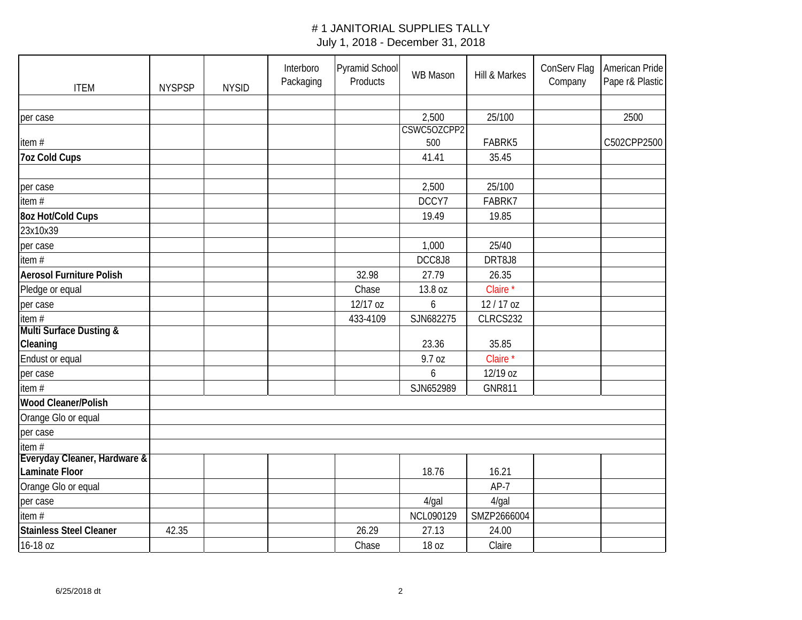| <b>ITEM</b>                     | <b>NYSPSP</b> | <b>NYSID</b> | Interboro<br>Packaging | Pyramid School<br>Products | WB Mason    | Hill & Markes       | ConServ Flag<br>Company | American Pride<br>Pape r& Plastic |
|---------------------------------|---------------|--------------|------------------------|----------------------------|-------------|---------------------|-------------------------|-----------------------------------|
|                                 |               |              |                        |                            |             |                     |                         |                                   |
| per case                        |               |              |                        |                            | 2,500       | 25/100              |                         | 2500                              |
|                                 |               |              |                        |                            | CSWC5OZCPP2 |                     |                         |                                   |
| item#                           |               |              |                        |                            | 500         | FABRK5              |                         | C502CPP2500                       |
| <b>7oz Cold Cups</b>            |               |              |                        |                            | 41.41       | 35.45               |                         |                                   |
|                                 |               |              |                        |                            |             |                     |                         |                                   |
| per case                        |               |              |                        |                            | 2,500       | 25/100              |                         |                                   |
| item#                           |               |              |                        |                            | DCCY7       | FABRK7              |                         |                                   |
| 8oz Hot/Cold Cups               |               |              |                        |                            | 19.49       | 19.85               |                         |                                   |
| 23x10x39                        |               |              |                        |                            |             |                     |                         |                                   |
| per case                        |               |              |                        |                            | 1,000       | 25/40               |                         |                                   |
| item#                           |               |              |                        |                            | DCC8J8      | DRT8J8              |                         |                                   |
| <b>Aerosol Furniture Polish</b> |               |              |                        | 32.98                      | 27.79       | 26.35               |                         |                                   |
| Pledge or equal                 |               |              |                        | Chase                      | 13.8 oz     | Claire <sup>*</sup> |                         |                                   |
| per case                        |               |              |                        | 12/17 oz                   | 6           | 12/17 oz            |                         |                                   |
| item $#$                        |               |              |                        | 433-4109                   | SJN682275   | CLRCS232            |                         |                                   |
| Multi Surface Dusting &         |               |              |                        |                            |             |                     |                         |                                   |
| Cleaning                        |               |              |                        |                            | 23.36       | 35.85               |                         |                                   |
| Endust or equal                 |               |              |                        |                            | 9.7 oz      | Claire <sup>*</sup> |                         |                                   |
| per case                        |               |              |                        |                            | 6           | 12/19 oz            |                         |                                   |
| item $#$                        |               |              |                        |                            | SJN652989   | <b>GNR811</b>       |                         |                                   |
| <b>Wood Cleaner/Polish</b>      |               |              |                        |                            |             |                     |                         |                                   |
| Orange Glo or equal             |               |              |                        |                            |             |                     |                         |                                   |
| per case                        |               |              |                        |                            |             |                     |                         |                                   |
| item#                           |               |              |                        |                            |             |                     |                         |                                   |
| Everyday Cleaner, Hardware &    |               |              |                        |                            |             |                     |                         |                                   |
| Laminate Floor                  |               |              |                        |                            | 18.76       | 16.21               |                         |                                   |
| Orange Glo or equal             |               |              |                        |                            |             | $AP-7$              |                         |                                   |
| per case                        |               |              |                        |                            | $4$ /gal    | $4$ /gal            |                         |                                   |
| item $#$                        |               |              |                        |                            | NCL090129   | SMZP2666004         |                         |                                   |
| <b>Stainless Steel Cleaner</b>  | 42.35         |              |                        | 26.29                      | 27.13       | 24.00               |                         |                                   |
| 16-18 oz                        |               |              |                        | Chase                      | 18 oz       | Claire              |                         |                                   |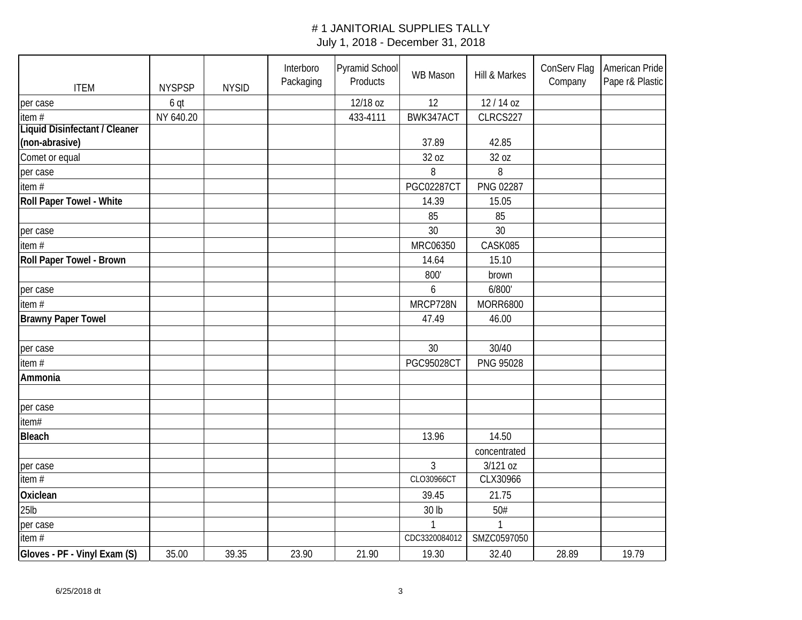| <b>ITEM</b>                   | <b>NYSPSP</b> | <b>NYSID</b> | Interboro<br>Packaging | Pyramid School<br>Products | <b>WB Mason</b>   | Hill & Markes    | ConServ Flag<br>Company | American Pride<br>Pape r& Plastic |
|-------------------------------|---------------|--------------|------------------------|----------------------------|-------------------|------------------|-------------------------|-----------------------------------|
| per case                      | 6 qt          |              |                        | 12/18 oz                   | 12                | 12/14 oz         |                         |                                   |
| item#                         | NY 640.20     |              |                        | 433-4111                   | BWK347ACT         | CLRCS227         |                         |                                   |
| Liquid Disinfectant / Cleaner |               |              |                        |                            |                   |                  |                         |                                   |
| (non-abrasive)                |               |              |                        |                            | 37.89             | 42.85            |                         |                                   |
| Comet or equal                |               |              |                        |                            | 32 oz             | 32 oz            |                         |                                   |
| per case                      |               |              |                        |                            | 8                 | 8                |                         |                                   |
| item#                         |               |              |                        |                            | <b>PGC02287CT</b> | PNG 02287        |                         |                                   |
| Roll Paper Towel - White      |               |              |                        |                            | 14.39             | 15.05            |                         |                                   |
|                               |               |              |                        |                            | 85                | 85               |                         |                                   |
| per case                      |               |              |                        |                            | 30                | 30               |                         |                                   |
| item#                         |               |              |                        |                            | MRC06350          | CASK085          |                         |                                   |
| Roll Paper Towel - Brown      |               |              |                        |                            | 14.64             | 15.10            |                         |                                   |
|                               |               |              |                        |                            | 800'              | brown            |                         |                                   |
| per case                      |               |              |                        |                            | 6                 | 6/800'           |                         |                                   |
| item $#$                      |               |              |                        |                            | MRCP728N          | <b>MORR6800</b>  |                         |                                   |
| <b>Brawny Paper Towel</b>     |               |              |                        |                            | 47.49             | 46.00            |                         |                                   |
|                               |               |              |                        |                            |                   |                  |                         |                                   |
| per case                      |               |              |                        |                            | 30                | 30/40            |                         |                                   |
| item $#$                      |               |              |                        |                            | <b>PGC95028CT</b> | <b>PNG 95028</b> |                         |                                   |
| Ammonia                       |               |              |                        |                            |                   |                  |                         |                                   |
|                               |               |              |                        |                            |                   |                  |                         |                                   |
| per case                      |               |              |                        |                            |                   |                  |                         |                                   |
| item#                         |               |              |                        |                            |                   |                  |                         |                                   |
| <b>Bleach</b>                 |               |              |                        |                            | 13.96             | 14.50            |                         |                                   |
|                               |               |              |                        |                            |                   | concentrated     |                         |                                   |
| per case                      |               |              |                        |                            | $\overline{3}$    | 3/121 oz         |                         |                                   |
| item#                         |               |              |                        |                            | CLO30966CT        | CLX30966         |                         |                                   |
| Oxiclean                      |               |              |                        |                            | 39.45             | 21.75            |                         |                                   |
| 25 <sub>lb</sub>              |               |              |                        |                            | 30 lb             | 50#              |                         |                                   |
| per case                      |               |              |                        |                            |                   |                  |                         |                                   |
| item#                         |               |              |                        |                            | CDC3320084012     | SMZC0597050      |                         |                                   |
| Gloves - PF - Vinyl Exam (S)  | 35.00         | 39.35        | 23.90                  | 21.90                      | 19.30             | 32.40            | 28.89                   | 19.79                             |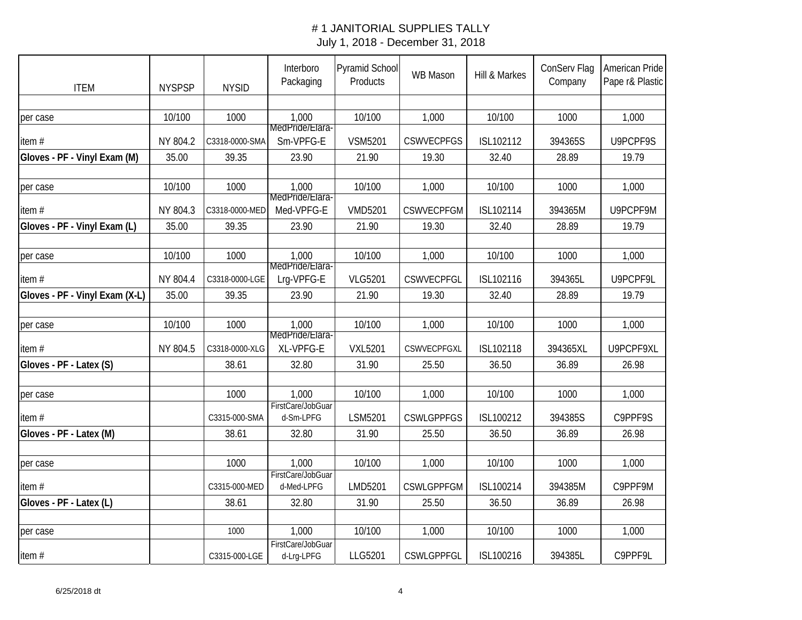| <b>ITEM</b>                    | <b>NYSPSP</b> | <b>NYSID</b>   | Interboro<br>Packaging          | <b>Pyramid School</b><br>Products | <b>WB Mason</b>   | Hill & Markes | ConServ Flag<br>Company | American Pride<br>Pape r& Plastic |
|--------------------------------|---------------|----------------|---------------------------------|-----------------------------------|-------------------|---------------|-------------------------|-----------------------------------|
|                                |               |                |                                 |                                   |                   |               |                         |                                   |
| per case                       | 10/100        | 1000           | 1,000                           | 10/100                            | 1,000             | 10/100        | 1000                    | 1,000                             |
| item#                          | NY 804.2      | C3318-0000-SMA | MedPride/Elara-<br>Sm-VPFG-E    | <b>VSM5201</b>                    | <b>CSWVECPFGS</b> | ISL102112     | 394365S                 | U9PCPF9S                          |
| Gloves - PF - Vinyl Exam (M)   | 35.00         | 39.35          | 23.90                           | 21.90                             | 19.30             | 32.40         | 28.89                   | 19.79                             |
|                                |               |                |                                 |                                   |                   |               |                         |                                   |
| per case                       | 10/100        | 1000           | 1,000<br>MedPride/Llara-        | 10/100                            | 1,000             | 10/100        | 1000                    | 1,000                             |
| item#                          | NY 804.3      | C3318-0000-MED | Med-VPFG-E                      | <b>VMD5201</b>                    | <b>CSWVECPFGM</b> | ISL102114     | 394365M                 | U9PCPF9M                          |
| Gloves - PF - Vinyl Exam (L)   | 35.00         | 39.35          | 23.90                           | 21.90                             | 19.30             | 32.40         | 28.89                   | 19.79                             |
|                                |               |                |                                 |                                   |                   |               |                         |                                   |
| per case                       | 10/100        | 1000           | 1,000<br>MedPride/Llara-        | 10/100                            | 1,000             | 10/100        | 1000                    | 1,000                             |
| item $#$                       | NY 804.4      | C3318-0000-LGE | Lrg-VPFG-E                      | <b>VLG5201</b>                    | <b>CSWVECPFGL</b> | ISL102116     | 394365L                 | U9PCPF9L                          |
| Gloves - PF - Vinyl Exam (X-L) | 35.00         | 39.35          | 23.90                           | 21.90                             | 19.30             | 32.40         | 28.89                   | 19.79                             |
|                                |               |                |                                 |                                   |                   |               |                         |                                   |
| per case                       | 10/100        | 1000           | 1,000<br>MedPride/Llara-        | 10/100                            | 1,000             | 10/100        | 1000                    | 1,000                             |
| item#                          | NY 804.5      | C3318-0000-XLG | XL-VPFG-E                       | <b>VXL5201</b>                    | CSWVECPFGXL       | ISL102118     | 394365XL                | U9PCPF9XL                         |
| Gloves - PF - Latex (S)        |               | 38.61          | 32.80                           | 31.90                             | 25.50             | 36.50         | 36.89                   | 26.98                             |
|                                |               |                |                                 |                                   |                   |               |                         |                                   |
| per case                       |               | 1000           | 1,000<br>FirstCare/JobGuar      | 10/100                            | 1,000             | 10/100        | 1000                    | 1,000                             |
| item#                          |               | C3315-000-SMA  | d-Sm-LPFG                       | LSM5201                           | <b>CSWLGPPFGS</b> | ISL100212     | 394385S                 | C9PPF9S                           |
| Gloves - PF - Latex (M)        |               | 38.61          | 32.80                           | 31.90                             | 25.50             | 36.50         | 36.89                   | 26.98                             |
|                                |               |                |                                 |                                   |                   |               |                         |                                   |
| per case                       |               | 1000           | 1,000<br>FirstCare/JobGuar      | 10/100                            | 1,000             | 10/100        | 1000                    | 1,000                             |
| item $#$                       |               | C3315-000-MED  | d-Med-LPFG                      | LMD5201                           | <b>CSWLGPPFGM</b> | ISL100214     | 394385M                 | C9PPF9M                           |
| Gloves - PF - Latex (L)        |               | 38.61          | 32.80                           | 31.90                             | 25.50             | 36.50         | 36.89                   | 26.98                             |
|                                |               |                |                                 |                                   |                   |               |                         |                                   |
| per case                       |               | 1000           | 1,000                           | 10/100                            | 1,000             | 10/100        | 1000                    | 1,000                             |
| item#                          |               | C3315-000-LGE  | FirstCare/JobGuar<br>d-Lrg-LPFG | LLG5201                           | <b>CSWLGPPFGL</b> | ISL100216     | 394385L                 | C9PPF9L                           |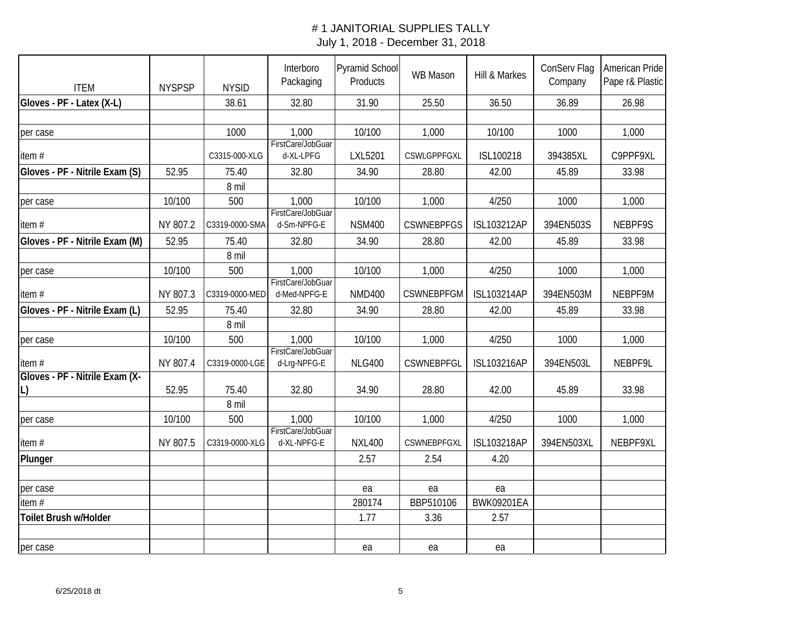| <b>ITEM</b>                    | <b>NYSPSP</b> | <b>NYSID</b>   | Interboro<br>Packaging            | Pyramid School<br>Products | <b>WB Mason</b>   | Hill & Markes      | ConServ Flag<br>Company | American Pride<br>Pape r& Plastic |
|--------------------------------|---------------|----------------|-----------------------------------|----------------------------|-------------------|--------------------|-------------------------|-----------------------------------|
| Gloves - PF - Latex (X-L)      |               | 38.61          | 32.80                             | 31.90                      | 25.50             | 36.50              | 36.89                   | 26.98                             |
|                                |               |                |                                   |                            |                   |                    |                         |                                   |
| per case                       |               | 1000           | 1,000                             | 10/100                     | 1,000             | 10/100             | 1000                    | 1,000                             |
| item#                          |               | C3315-000-XLG  | FirstCare/JobGuar<br>d-XL-LPFG    | LXL5201                    | CSWLGPPFGXL       | ISL100218          | 394385XL                | C9PPF9XL                          |
| Gloves - PF - Nitrile Exam (S) | 52.95         | 75.40          | 32.80                             | 34.90                      | 28.80             | 42.00              | 45.89                   | 33.98                             |
|                                |               | 8 mil          |                                   |                            |                   |                    |                         |                                   |
| per case                       | 10/100        | 500            | 1,000                             | 10/100                     | 1,000             | 4/250              | 1000                    | 1,000                             |
| item#                          | NY 807.2      | C3319-0000-SMA | FirstCare/JobGuar<br>d-Sm-NPFG-E  | <b>NSM400</b>              | <b>CSWNEBPFGS</b> | <b>ISL103212AP</b> | 394EN503S               | NEBPF9S                           |
| Gloves - PF - Nitrile Exam (M) | 52.95         | 75.40          | 32.80                             | 34.90                      | 28.80             | 42.00              | 45.89                   | 33.98                             |
|                                |               | 8 mil          |                                   |                            |                   |                    |                         |                                   |
| per case                       | 10/100        | 500            | 1,000                             | 10/100                     | 1,000             | 4/250              | 1000                    | 1,000                             |
| item#                          | NY 807.3      | C3319-0000-MED | FirstCare/JobGuar<br>d-Med-NPFG-E | <b>NMD400</b>              | <b>CSWNEBPFGM</b> | <b>ISL103214AP</b> | 394EN503M               | NEBPF9M                           |
| Gloves - PF - Nitrile Exam (L) | 52.95         | 75.40          | 32.80                             | 34.90                      | 28.80             | 42.00              | 45.89                   | 33.98                             |
|                                |               | 8 mil          |                                   |                            |                   |                    |                         |                                   |
| per case                       | 10/100        | 500            | 1,000                             | 10/100                     | 1,000             | 4/250              | 1000                    | 1,000                             |
| item#                          | NY 807.4      | C3319-0000-LGE | FirstCare/JobGuar<br>d-Lrg-NPFG-E | <b>NLG400</b>              | <b>CSWNEBPFGL</b> | <b>ISL103216AP</b> | 394EN503L               | NEBPF9L                           |
| Gloves - PF - Nitrile Exam (X- |               |                |                                   |                            |                   |                    |                         |                                   |
| L)                             | 52.95         | 75.40          | 32.80                             | 34.90                      | 28.80             | 42.00              | 45.89                   | 33.98                             |
|                                |               | 8 mil          |                                   |                            |                   |                    |                         |                                   |
| per case                       | 10/100        | 500            | 1,000<br>FirstCare/JobGuar        | 10/100                     | 1,000             | 4/250              | 1000                    | 1,000                             |
| item#                          | NY 807.5      | C3319-0000-XLG | d-XL-NPFG-E                       | <b>NXL400</b>              | CSWNEBPFGXL       | <b>ISL103218AP</b> | 394EN503XL              | NEBPF9XL                          |
| Plunger                        |               |                |                                   | 2.57                       | 2.54              | 4.20               |                         |                                   |
|                                |               |                |                                   |                            |                   |                    |                         |                                   |
| per case                       |               |                |                                   | ea                         | ea                | ea                 |                         |                                   |
| item#                          |               |                |                                   | 280174                     | BBP510106         | <b>BWK09201EA</b>  |                         |                                   |
| <b>Toilet Brush w/Holder</b>   |               |                |                                   | 1.77                       | 3.36              | 2.57               |                         |                                   |
|                                |               |                |                                   |                            |                   |                    |                         |                                   |
| per case                       |               |                |                                   | ea                         | ea                | ea                 |                         |                                   |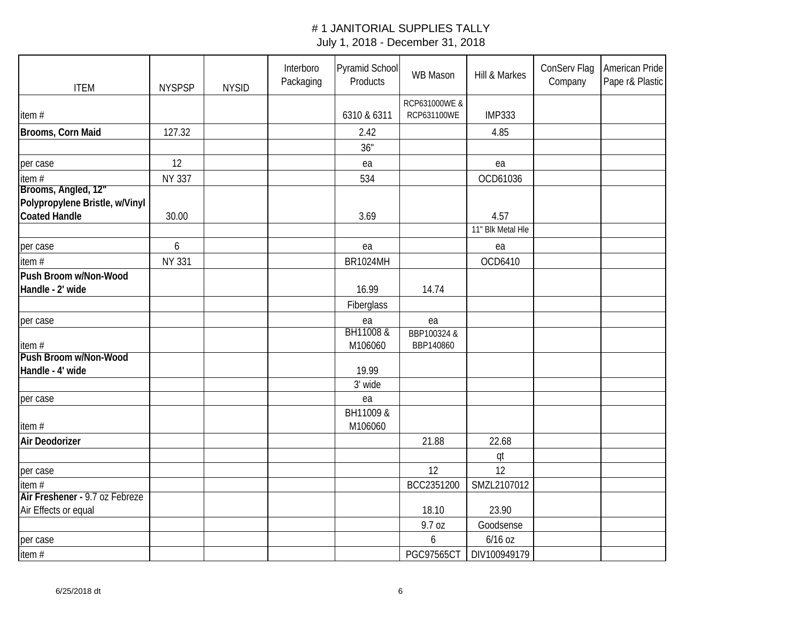| <b>ITEM</b>                                           | <b>NYSPSP</b> | <b>NYSID</b> | Interboro<br>Packaging | Pyramid School<br>Products | <b>WB Mason</b>          | Hill & Markes     | ConServ Flag<br>Company | American Pride<br>Pape r& Plastic |
|-------------------------------------------------------|---------------|--------------|------------------------|----------------------------|--------------------------|-------------------|-------------------------|-----------------------------------|
|                                                       |               |              |                        |                            | RCP631000WE &            |                   |                         |                                   |
| item#                                                 |               |              |                        | 6310 & 6311                | RCP631100WE              | <b>IMP333</b>     |                         |                                   |
| Brooms, Corn Maid                                     | 127.32        |              |                        | 2.42                       |                          | 4.85              |                         |                                   |
|                                                       |               |              |                        | 36"                        |                          |                   |                         |                                   |
| per case                                              | 12            |              |                        | ea                         |                          | ea                |                         |                                   |
| item#                                                 | <b>NY 337</b> |              |                        | 534                        |                          | OCD61036          |                         |                                   |
| Brooms, Angled, 12"<br>Polypropylene Bristle, w/Vinyl |               |              |                        |                            |                          |                   |                         |                                   |
| <b>Coated Handle</b>                                  | 30.00         |              |                        | 3.69                       |                          | 4.57              |                         |                                   |
|                                                       |               |              |                        |                            |                          | 11" Blk Metal Hle |                         |                                   |
| per case                                              | 6             |              |                        | ea                         |                          | ea                |                         |                                   |
| item#                                                 | <b>NY 331</b> |              |                        | <b>BR1024MH</b>            |                          | OCD6410           |                         |                                   |
| Push Broom w/Non-Wood<br>Handle - 2' wide             |               |              |                        | 16.99                      | 14.74                    |                   |                         |                                   |
|                                                       |               |              |                        | Fiberglass                 |                          |                   |                         |                                   |
| per case                                              |               |              |                        | ea                         | ea                       |                   |                         |                                   |
| item#                                                 |               |              |                        | BH11008 &<br>M106060       | BBP100324 &<br>BBP140860 |                   |                         |                                   |
| Push Broom w/Non-Wood                                 |               |              |                        |                            |                          |                   |                         |                                   |
| Handle - 4' wide                                      |               |              |                        | 19.99                      |                          |                   |                         |                                   |
|                                                       |               |              |                        | 3' wide                    |                          |                   |                         |                                   |
| per case                                              |               |              |                        | ea                         |                          |                   |                         |                                   |
| item#                                                 |               |              |                        | BH11009 &<br>M106060       |                          |                   |                         |                                   |
| Air Deodorizer                                        |               |              |                        |                            | 21.88                    | 22.68             |                         |                                   |
|                                                       |               |              |                        |                            |                          | qt                |                         |                                   |
| per case                                              |               |              |                        |                            | 12                       | 12                |                         |                                   |
| item#                                                 |               |              |                        |                            | BCC2351200               | SMZL2107012       |                         |                                   |
| Air Freshener - 9.7 oz Febreze                        |               |              |                        |                            |                          |                   |                         |                                   |
| Air Effects or equal                                  |               |              |                        |                            | 18.10                    | 23.90             |                         |                                   |
|                                                       |               |              |                        |                            | 9.7 oz                   | Goodsense         |                         |                                   |
| per case                                              |               |              |                        |                            | 6                        | 6/16 oz           |                         |                                   |
| item#                                                 |               |              |                        |                            | <b>PGC97565CT</b>        | DIV100949179      |                         |                                   |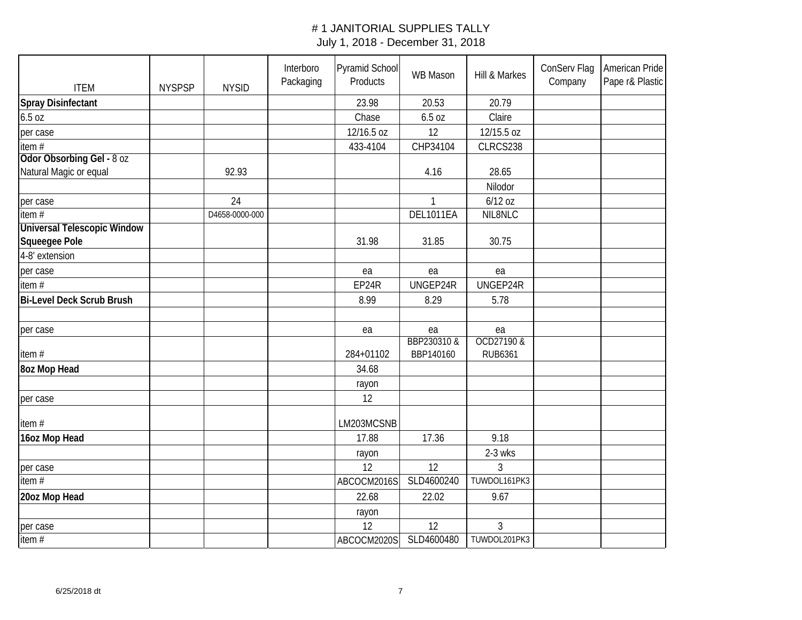| <b>ITEM</b>                        | <b>NYSPSP</b> | <b>NYSID</b>   | Interboro<br>Packaging | Pyramid School<br>Products | <b>WB Mason</b> | Hill & Markes  | ConServ Flag<br>Company | American Pride<br>Pape r& Plastic |
|------------------------------------|---------------|----------------|------------------------|----------------------------|-----------------|----------------|-------------------------|-----------------------------------|
| <b>Spray Disinfectant</b>          |               |                |                        | 23.98                      | 20.53           | 20.79          |                         |                                   |
| 6.5 oz                             |               |                |                        | Chase                      | 6.5 oz          | Claire         |                         |                                   |
| per case                           |               |                |                        | 12/16.5 oz                 | 12              | 12/15.5 oz     |                         |                                   |
| item#<br>Odor Obsorbing Gel - 8 oz |               |                |                        | 433-4104                   | CHP34104        | CLRCS238       |                         |                                   |
| Natural Magic or equal             |               | 92.93          |                        |                            | 4.16            | 28.65          |                         |                                   |
|                                    |               |                |                        |                            |                 | Nilodor        |                         |                                   |
|                                    |               | 24             |                        |                            |                 | $6/12$ oz      |                         |                                   |
| per case<br>item $#$               |               | D4658-0000-000 |                        |                            | DEL1011EA       | NIL8NLC        |                         |                                   |
| <b>Universal Telescopic Window</b> |               |                |                        |                            |                 |                |                         |                                   |
| Squeegee Pole                      |               |                |                        | 31.98                      | 31.85           | 30.75          |                         |                                   |
| 4-8' extension                     |               |                |                        |                            |                 |                |                         |                                   |
| per case                           |               |                |                        | ea                         | ea              | ea             |                         |                                   |
| item#                              |               |                |                        | EP24R                      | UNGEP24R        | UNGEP24R       |                         |                                   |
| <b>Bi-Level Deck Scrub Brush</b>   |               |                |                        | 8.99                       | 8.29            | 5.78           |                         |                                   |
|                                    |               |                |                        |                            |                 |                |                         |                                   |
| per case                           |               |                |                        | ea                         | ea              | ea             |                         |                                   |
|                                    |               |                |                        |                            | BBP230310 &     | OCD27190&      |                         |                                   |
| item#                              |               |                |                        | 284+01102                  | BBP140160       | <b>RUB6361</b> |                         |                                   |
| <b>8oz Mop Head</b>                |               |                |                        | 34.68                      |                 |                |                         |                                   |
|                                    |               |                |                        | rayon                      |                 |                |                         |                                   |
| per case                           |               |                |                        | 12                         |                 |                |                         |                                   |
| item#                              |               |                |                        | LM203MCSNB                 |                 |                |                         |                                   |
| 16oz Mop Head                      |               |                |                        | 17.88                      | 17.36           | 9.18           |                         |                                   |
|                                    |               |                |                        | rayon                      |                 | 2-3 wks        |                         |                                   |
| per case                           |               |                |                        | 12                         | 12              | 3              |                         |                                   |
| item $#$                           |               |                |                        | ABCOCM2016S                | SLD4600240      | TUWDOL161PK3   |                         |                                   |
| 20oz Mop Head                      |               |                |                        | 22.68                      | 22.02           | 9.67           |                         |                                   |
|                                    |               |                |                        | rayon                      |                 |                |                         |                                   |
| per case                           |               |                |                        | 12                         | 12              | 3              |                         |                                   |
| item $#$                           |               |                |                        | ABCOCM2020S                | SLD4600480      | TUWDOL201PK3   |                         |                                   |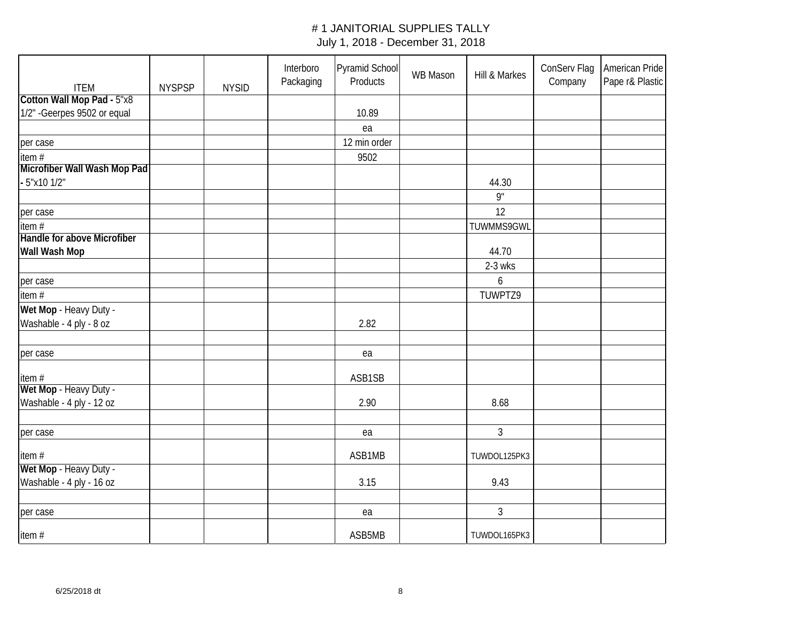| <b>ITEM</b>                  | <b>NYSPSP</b> | <b>NYSID</b> | Interboro<br>Packaging | Pyramid School<br>Products | <b>WB Mason</b> | Hill & Markes    | ConServ Flag<br>Company | American Pride<br>Pape r& Plastic |
|------------------------------|---------------|--------------|------------------------|----------------------------|-----------------|------------------|-------------------------|-----------------------------------|
| Cotton Wall Mop Pad - 5"x8   |               |              |                        |                            |                 |                  |                         |                                   |
| 1/2" - Geerpes 9502 or equal |               |              |                        | 10.89                      |                 |                  |                         |                                   |
|                              |               |              |                        | ea                         |                 |                  |                         |                                   |
| per case                     |               |              |                        | 12 min order               |                 |                  |                         |                                   |
| item#                        |               |              |                        | 9502                       |                 |                  |                         |                                   |
| Microfiber Wall Wash Mop Pad |               |              |                        |                            |                 |                  |                         |                                   |
| - 5"x10 1/2"                 |               |              |                        |                            |                 | 44.30            |                         |                                   |
|                              |               |              |                        |                            |                 | 9"               |                         |                                   |
| per case                     |               |              |                        |                            |                 | 12               |                         |                                   |
| item#                        |               |              |                        |                            |                 | TUWMMS9GWL       |                         |                                   |
| Handle for above Microfiber  |               |              |                        |                            |                 |                  |                         |                                   |
| Wall Wash Mop                |               |              |                        |                            |                 | 44.70            |                         |                                   |
|                              |               |              |                        |                            |                 | 2-3 wks          |                         |                                   |
| per case                     |               |              |                        |                            |                 | $\boldsymbol{6}$ |                         |                                   |
| item $#$                     |               |              |                        |                            |                 | TUWPTZ9          |                         |                                   |
| Wet Mop - Heavy Duty -       |               |              |                        |                            |                 |                  |                         |                                   |
| Washable - 4 ply - 8 oz      |               |              |                        | 2.82                       |                 |                  |                         |                                   |
|                              |               |              |                        |                            |                 |                  |                         |                                   |
| per case                     |               |              |                        | ea                         |                 |                  |                         |                                   |
| item#                        |               |              |                        | ASB1SB                     |                 |                  |                         |                                   |
| Wet Mop - Heavy Duty -       |               |              |                        |                            |                 |                  |                         |                                   |
| Washable - 4 ply - 12 oz     |               |              |                        | 2.90                       |                 | 8.68             |                         |                                   |
|                              |               |              |                        |                            |                 |                  |                         |                                   |
| per case                     |               |              |                        | ea                         |                 | $\mathfrak{Z}$   |                         |                                   |
| item#                        |               |              |                        | ASB1MB                     |                 | TUWDOL125PK3     |                         |                                   |
| Wet Mop - Heavy Duty -       |               |              |                        |                            |                 |                  |                         |                                   |
| Washable - 4 ply - 16 oz     |               |              |                        | 3.15                       |                 | 9.43             |                         |                                   |
|                              |               |              |                        |                            |                 |                  |                         |                                   |
| per case                     |               |              |                        | ea                         |                 | $\mathfrak{Z}$   |                         |                                   |
| item#                        |               |              |                        | ASB5MB                     |                 | TUWDOL165PK3     |                         |                                   |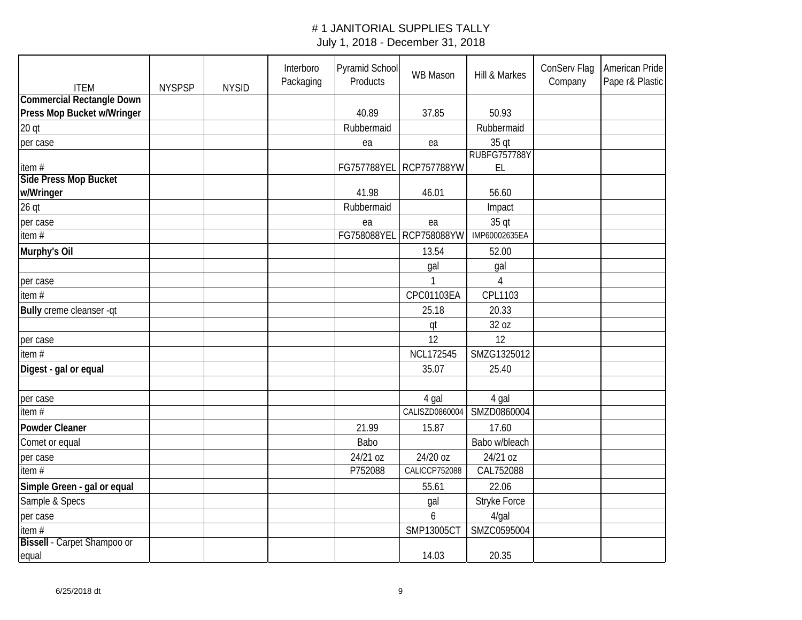| <b>ITEM</b>                      | <b>NYSPSP</b> | <b>NYSID</b> | Interboro<br>Packaging | Pyramid School<br>Products | <b>WB Mason</b>    | Hill & Markes          | ConServ Flag<br>Company | American Pride<br>Pape r& Plastic |
|----------------------------------|---------------|--------------|------------------------|----------------------------|--------------------|------------------------|-------------------------|-----------------------------------|
| <b>Commercial Rectangle Down</b> |               |              |                        |                            |                    |                        |                         |                                   |
| Press Mop Bucket w/Wringer       |               |              |                        | 40.89                      | 37.85              | 50.93                  |                         |                                   |
| 20 <sub>q</sub>                  |               |              |                        | Rubbermaid                 |                    | Rubbermaid             |                         |                                   |
| per case                         |               |              |                        | ea                         | ea                 | 35 qt                  |                         |                                   |
|                                  |               |              |                        |                            |                    | <b>RUBFG757788Y</b>    |                         |                                   |
| item#                            |               |              |                        | FG757788YEL                | <b>RCP757788YW</b> | EL                     |                         |                                   |
| <b>Side Press Mop Bucket</b>     |               |              |                        | 41.98                      | 46.01              | 56.60                  |                         |                                   |
| w/Wringer                        |               |              |                        |                            |                    |                        |                         |                                   |
| $26$ qt                          |               |              |                        | Rubbermaid                 |                    | Impact                 |                         |                                   |
| per case<br>item $#$             |               |              |                        | ea<br>FG758088YEL          | ea<br>RCP758088YW  | 35 qt<br>IMP60002635EA |                         |                                   |
|                                  |               |              |                        |                            |                    |                        |                         |                                   |
| Murphy's Oil                     |               |              |                        |                            | 13.54              | 52.00                  |                         |                                   |
|                                  |               |              |                        |                            | gal                | gal                    |                         |                                   |
| per case                         |               |              |                        |                            |                    | 4                      |                         |                                   |
| item#                            |               |              |                        |                            | CPC01103EA         | CPL1103                |                         |                                   |
| Bully creme cleanser -qt         |               |              |                        |                            | 25.18              | 20.33                  |                         |                                   |
|                                  |               |              |                        |                            | qt                 | 32 oz                  |                         |                                   |
| per case                         |               |              |                        |                            | 12                 | 12                     |                         |                                   |
| item $#$                         |               |              |                        |                            | <b>NCL172545</b>   | SMZG1325012            |                         |                                   |
| Digest - gal or equal            |               |              |                        |                            | 35.07              | 25.40                  |                         |                                   |
|                                  |               |              |                        |                            |                    |                        |                         |                                   |
| per case                         |               |              |                        |                            | 4 gal              | 4 gal                  |                         |                                   |
| item#                            |               |              |                        |                            | CALISZD0860004     | SMZD0860004            |                         |                                   |
| Powder Cleaner                   |               |              |                        | 21.99                      | 15.87              | 17.60                  |                         |                                   |
| Comet or equal                   |               |              |                        | Babo                       |                    | Babo w/bleach          |                         |                                   |
| per case                         |               |              |                        | 24/21 oz                   | 24/20 oz           | 24/21 oz               |                         |                                   |
| item#                            |               |              |                        | P752088                    | CALICCP752088      | CAL752088              |                         |                                   |
| Simple Green - gal or equal      |               |              |                        |                            | 55.61              | 22.06                  |                         |                                   |
| Sample & Specs                   |               |              |                        |                            | gal                | Stryke Force           |                         |                                   |
| per case                         |               |              |                        |                            | 6                  | $4$ /gal               |                         |                                   |
| item#                            |               |              |                        |                            | SMP13005CT         | SMZC0595004            |                         |                                   |
| Bissell - Carpet Shampoo or      |               |              |                        |                            |                    |                        |                         |                                   |
| equal                            |               |              |                        |                            | 14.03              | 20.35                  |                         |                                   |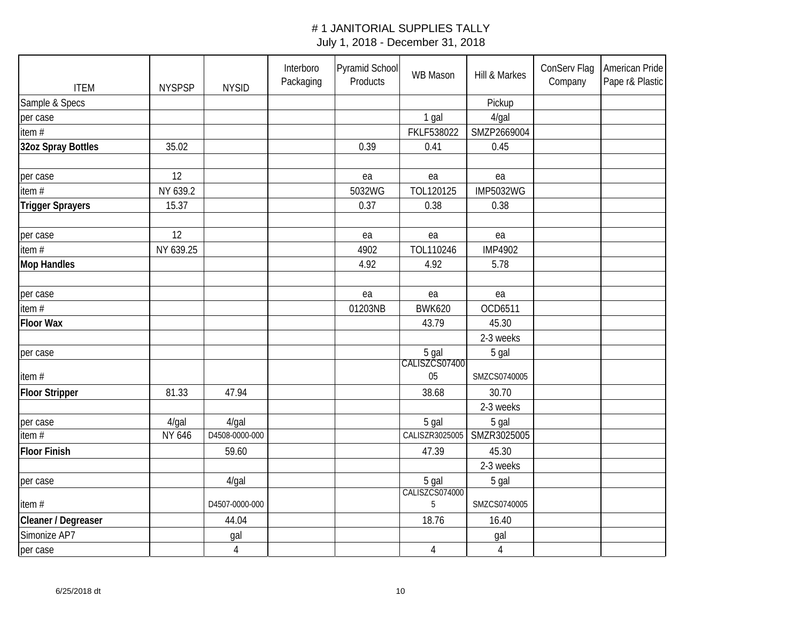| <b>ITEM</b>             | <b>NYSPSP</b> | <b>NYSID</b>   | Interboro<br>Packaging | Pyramid School<br>Products | WB Mason               | Hill & Markes    | ConServ Flag<br>Company | American Pride<br>Pape r& Plastic |
|-------------------------|---------------|----------------|------------------------|----------------------------|------------------------|------------------|-------------------------|-----------------------------------|
| Sample & Specs          |               |                |                        |                            |                        | Pickup           |                         |                                   |
| per case                |               |                |                        |                            | 1 gal                  | $4$ /gal         |                         |                                   |
| item#                   |               |                |                        |                            | FKLF538022             | SMZP2669004      |                         |                                   |
| 32oz Spray Bottles      | 35.02         |                |                        | 0.39                       | 0.41                   | 0.45             |                         |                                   |
|                         |               |                |                        |                            |                        |                  |                         |                                   |
| per case                | 12            |                |                        | ea                         | ea                     | ea               |                         |                                   |
| item $#$                | NY 639.2      |                |                        | 5032WG                     | TOL120125              | <b>IMP5032WG</b> |                         |                                   |
| <b>Trigger Sprayers</b> | 15.37         |                |                        | 0.37                       | 0.38                   | 0.38             |                         |                                   |
| per case                | 12            |                |                        | ea                         | ea                     | ea               |                         |                                   |
| item#                   | NY 639.25     |                |                        | 4902                       | TOL110246              | <b>IMP4902</b>   |                         |                                   |
| <b>Mop Handles</b>      |               |                |                        | 4.92                       | 4.92                   | 5.78             |                         |                                   |
|                         |               |                |                        |                            |                        |                  |                         |                                   |
| per case                |               |                |                        | ea                         | ea                     | ea               |                         |                                   |
| item#                   |               |                |                        | 01203NB                    | <b>BWK620</b>          | OCD6511          |                         |                                   |
| <b>Floor Wax</b>        |               |                |                        |                            | 43.79                  | 45.30            |                         |                                   |
|                         |               |                |                        |                            |                        | 2-3 weeks        |                         |                                   |
| per case                |               |                |                        |                            | 5 gal<br>CALISZCS07400 | 5 gal            |                         |                                   |
| item#                   |               |                |                        |                            | 05                     | SMZCS0740005     |                         |                                   |
| <b>Floor Stripper</b>   | 81.33         | 47.94          |                        |                            | 38.68                  | 30.70            |                         |                                   |
|                         |               |                |                        |                            |                        | 2-3 weeks        |                         |                                   |
| per case                | 4/gal         | $4$ /gal       |                        |                            | 5 gal                  | 5 gal            |                         |                                   |
| item $#$                | NY 646        | D4508-0000-000 |                        |                            | CALISZR3025005         | SMZR3025005      |                         |                                   |
| <b>Floor Finish</b>     |               | 59.60          |                        |                            | 47.39                  | 45.30            |                         |                                   |
|                         |               |                |                        |                            |                        | 2-3 weeks        |                         |                                   |
| per case                |               | $4$ /gal       |                        |                            | 5 gal                  | 5 gal            |                         |                                   |
| item#                   |               | D4507-0000-000 |                        |                            | CALISZCS074000<br>5    | SMZCS0740005     |                         |                                   |
| Cleaner / Degreaser     |               | 44.04          |                        |                            | 18.76                  | 16.40            |                         |                                   |
| Simonize AP7            |               | gal            |                        |                            |                        | gal              |                         |                                   |
| per case                |               | $\overline{4}$ |                        |                            | 4                      | $\sqrt{4}$       |                         |                                   |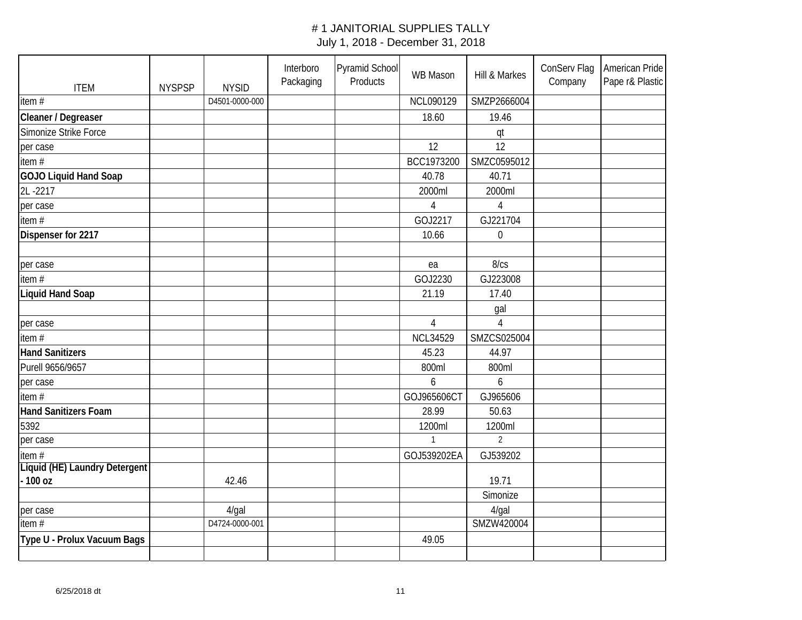| <b>ITEM</b>                   | <b>NYSPSP</b> | <b>NYSID</b>   | Interboro<br>Packaging | Pyramid School<br>Products | WB Mason        | Hill & Markes  | ConServ Flag<br>Company | American Pride<br>Pape r& Plastic |
|-------------------------------|---------------|----------------|------------------------|----------------------------|-----------------|----------------|-------------------------|-----------------------------------|
| item $#$                      |               | D4501-0000-000 |                        |                            | NCL090129       | SMZP2666004    |                         |                                   |
| Cleaner / Degreaser           |               |                |                        |                            | 18.60           | 19.46          |                         |                                   |
| Simonize Strike Force         |               |                |                        |                            |                 | qt             |                         |                                   |
| per case                      |               |                |                        |                            | 12              | 12             |                         |                                   |
| item $#$                      |               |                |                        |                            | BCC1973200      | SMZC0595012    |                         |                                   |
| <b>GOJO Liquid Hand Soap</b>  |               |                |                        |                            | 40.78           | 40.71          |                         |                                   |
| 2L-2217                       |               |                |                        |                            | 2000ml          | 2000ml         |                         |                                   |
| per case                      |               |                |                        |                            | 4               | $\overline{4}$ |                         |                                   |
| item#                         |               |                |                        |                            | GOJ2217         | GJ221704       |                         |                                   |
| Dispenser for 2217            |               |                |                        |                            | 10.66           | $\mathbf 0$    |                         |                                   |
|                               |               |                |                        |                            |                 |                |                         |                                   |
| per case                      |               |                |                        |                            | ea              | 8/cs           |                         |                                   |
| item $#$                      |               |                |                        |                            | GOJ2230         | GJ223008       |                         |                                   |
| <b>Liquid Hand Soap</b>       |               |                |                        |                            | 21.19           | 17.40          |                         |                                   |
|                               |               |                |                        |                            |                 | gal            |                         |                                   |
| per case                      |               |                |                        |                            | $\overline{4}$  | $\overline{4}$ |                         |                                   |
| item #                        |               |                |                        |                            | <b>NCL34529</b> | SMZCS025004    |                         |                                   |
| <b>Hand Sanitizers</b>        |               |                |                        |                            | 45.23           | 44.97          |                         |                                   |
| Purell 9656/9657              |               |                |                        |                            | 800ml           | 800ml          |                         |                                   |
| per case                      |               |                |                        |                            | 6               | 6              |                         |                                   |
| item#                         |               |                |                        |                            | GOJ965606CT     | GJ965606       |                         |                                   |
| Hand Sanitizers Foam          |               |                |                        |                            | 28.99           | 50.63          |                         |                                   |
| 5392                          |               |                |                        |                            | 1200ml          | 1200ml         |                         |                                   |
| per case                      |               |                |                        |                            |                 | $\overline{2}$ |                         |                                   |
| item#                         |               |                |                        |                            | GOJ539202EA     | GJ539202       |                         |                                   |
| Liquid (HE) Laundry Detergent |               |                |                        |                            |                 |                |                         |                                   |
| $-100$ oz                     |               | 42.46          |                        |                            |                 | 19.71          |                         |                                   |
|                               |               |                |                        |                            |                 | Simonize       |                         |                                   |
| per case                      |               | $4$ /gal       |                        |                            |                 | $4$ /gal       |                         |                                   |
| item#                         |               | D4724-0000-001 |                        |                            |                 | SMZW420004     |                         |                                   |
| Type U - Prolux Vacuum Bags   |               |                |                        |                            | 49.05           |                |                         |                                   |
|                               |               |                |                        |                            |                 |                |                         |                                   |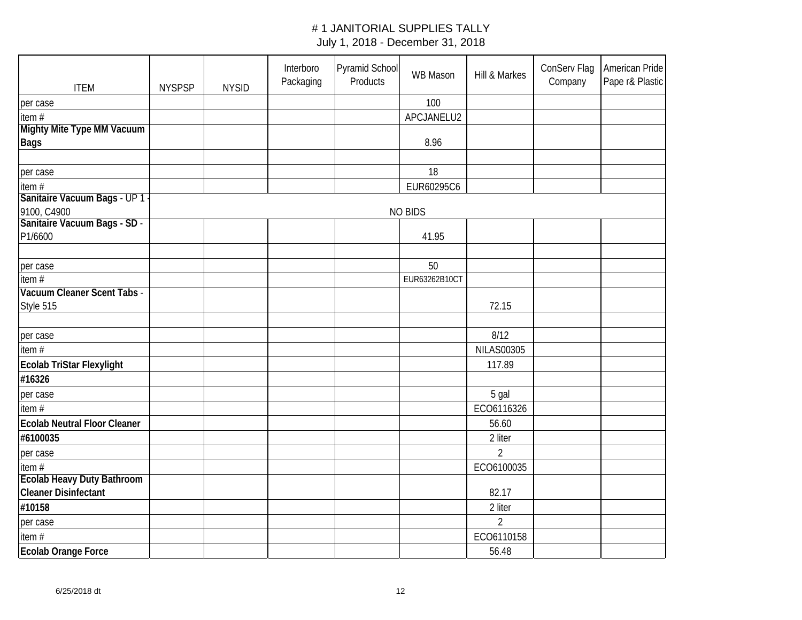| <b>ITEM</b>                              | <b>NYSPSP</b> | <b>NYSID</b> | Interboro<br>Packaging | <b>Pyramid School</b><br>Products | WB Mason       | Hill & Markes     | ConServ Flag<br>Company | American Pride<br>Pape r& Plastic |
|------------------------------------------|---------------|--------------|------------------------|-----------------------------------|----------------|-------------------|-------------------------|-----------------------------------|
| per case                                 |               |              |                        |                                   | 100            |                   |                         |                                   |
| item#                                    |               |              |                        |                                   | APCJANELU2     |                   |                         |                                   |
| Mighty Mite Type MM Vacuum               |               |              |                        |                                   |                |                   |                         |                                   |
| <b>Bags</b>                              |               |              |                        |                                   | 8.96           |                   |                         |                                   |
|                                          |               |              |                        |                                   |                |                   |                         |                                   |
| per case                                 |               |              |                        |                                   | 18             |                   |                         |                                   |
| item#                                    |               |              |                        |                                   | EUR60295C6     |                   |                         |                                   |
| Sanitaire Vacuum Bags - UP 1 -           |               |              |                        |                                   |                |                   |                         |                                   |
| 9100, C4900                              |               |              |                        |                                   | <b>NO BIDS</b> |                   |                         |                                   |
| Sanitaire Vacuum Bags - SD -             |               |              |                        |                                   |                |                   |                         |                                   |
| P1/6600                                  |               |              |                        |                                   | 41.95          |                   |                         |                                   |
|                                          |               |              |                        |                                   |                |                   |                         |                                   |
| per case                                 |               |              |                        |                                   | 50             |                   |                         |                                   |
| item $#$                                 |               |              |                        |                                   | EUR63262B10CT  |                   |                         |                                   |
| Vacuum Cleaner Scent Tabs -<br>Style 515 |               |              |                        |                                   |                | 72.15             |                         |                                   |
|                                          |               |              |                        |                                   |                |                   |                         |                                   |
| per case                                 |               |              |                        |                                   |                | 8/12              |                         |                                   |
| item#                                    |               |              |                        |                                   |                | <b>NILAS00305</b> |                         |                                   |
|                                          |               |              |                        |                                   |                | 117.89            |                         |                                   |
| Ecolab TriStar Flexylight                |               |              |                        |                                   |                |                   |                         |                                   |
| #16326                                   |               |              |                        |                                   |                |                   |                         |                                   |
| per case                                 |               |              |                        |                                   |                | 5 gal             |                         |                                   |
| item#                                    |               |              |                        |                                   |                | ECO6116326        |                         |                                   |
| <b>Ecolab Neutral Floor Cleaner</b>      |               |              |                        |                                   |                | 56.60             |                         |                                   |
| #6100035                                 |               |              |                        |                                   |                | 2 liter           |                         |                                   |
| per case                                 |               |              |                        |                                   |                | $\overline{2}$    |                         |                                   |
| item#                                    |               |              |                        |                                   |                | ECO6100035        |                         |                                   |
| <b>Ecolab Heavy Duty Bathroom</b>        |               |              |                        |                                   |                |                   |                         |                                   |
| <b>Cleaner Disinfectant</b>              |               |              |                        |                                   |                | 82.17             |                         |                                   |
| #10158                                   |               |              |                        |                                   |                | 2 liter           |                         |                                   |
| per case                                 |               |              |                        |                                   |                | $\overline{2}$    |                         |                                   |
| item#                                    |               |              |                        |                                   |                | ECO6110158        |                         |                                   |
| <b>Ecolab Orange Force</b>               |               |              |                        |                                   |                | 56.48             |                         |                                   |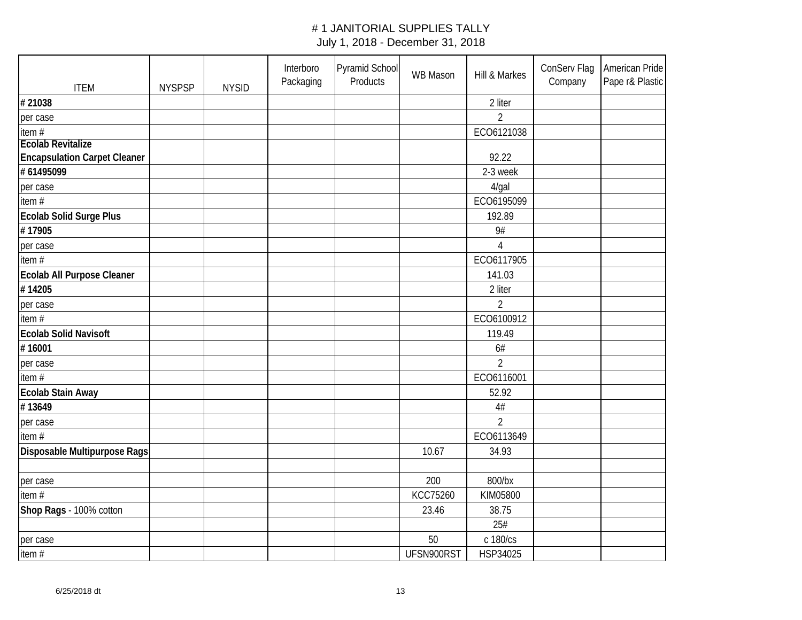| <b>ITEM</b>                         | <b>NYSPSP</b> | <b>NYSID</b> | Interboro<br>Packaging | Pyramid School<br>Products | WB Mason   | Hill & Markes  | ConServ Flag<br>Company | American Pride<br>Pape r& Plastic |
|-------------------------------------|---------------|--------------|------------------------|----------------------------|------------|----------------|-------------------------|-----------------------------------|
| #21038                              |               |              |                        |                            |            | 2 liter        |                         |                                   |
| per case                            |               |              |                        |                            |            | $\overline{2}$ |                         |                                   |
| item#                               |               |              |                        |                            |            | ECO6121038     |                         |                                   |
| <b>Ecolab Revitalize</b>            |               |              |                        |                            |            |                |                         |                                   |
| <b>Encapsulation Carpet Cleaner</b> |               |              |                        |                            |            | 92.22          |                         |                                   |
| #61495099                           |               |              |                        |                            |            | 2-3 week       |                         |                                   |
| per case                            |               |              |                        |                            |            | $4$ /gal       |                         |                                   |
| item#                               |               |              |                        |                            |            | ECO6195099     |                         |                                   |
| Ecolab Solid Surge Plus             |               |              |                        |                            |            | 192.89         |                         |                                   |
| #17905                              |               |              |                        |                            |            | 9#             |                         |                                   |
| per case                            |               |              |                        |                            |            | $\overline{4}$ |                         |                                   |
| item#                               |               |              |                        |                            |            | ECO6117905     |                         |                                   |
| Ecolab All Purpose Cleaner          |               |              |                        |                            |            | 141.03         |                         |                                   |
| #14205                              |               |              |                        |                            |            | 2 liter        |                         |                                   |
| per case                            |               |              |                        |                            |            | $\overline{2}$ |                         |                                   |
| item#                               |               |              |                        |                            |            | ECO6100912     |                         |                                   |
| <b>Ecolab Solid Navisoft</b>        |               |              |                        |                            |            | 119.49         |                         |                                   |
| #16001                              |               |              |                        |                            |            | 6#             |                         |                                   |
| per case                            |               |              |                        |                            |            | $\overline{2}$ |                         |                                   |
| item#                               |               |              |                        |                            |            | ECO6116001     |                         |                                   |
| Ecolab Stain Away                   |               |              |                        |                            |            | 52.92          |                         |                                   |
| #13649                              |               |              |                        |                            |            | 4#             |                         |                                   |
| per case                            |               |              |                        |                            |            | $\overline{2}$ |                         |                                   |
| item#                               |               |              |                        |                            |            | ECO6113649     |                         |                                   |
| Disposable Multipurpose Rags        |               |              |                        |                            | 10.67      | 34.93          |                         |                                   |
|                                     |               |              |                        |                            |            |                |                         |                                   |
| per case                            |               |              |                        |                            | 200        | 800/bx         |                         |                                   |
| item#                               |               |              |                        |                            | KCC75260   | KIM05800       |                         |                                   |
| Shop Rags - 100% cotton             |               |              |                        |                            | 23.46      | 38.75          |                         |                                   |
|                                     |               |              |                        |                            |            | 25#            |                         |                                   |
| per case                            |               |              |                        |                            | 50         | c 180/cs       |                         |                                   |
| item#                               |               |              |                        |                            | UFSN900RST | HSP34025       |                         |                                   |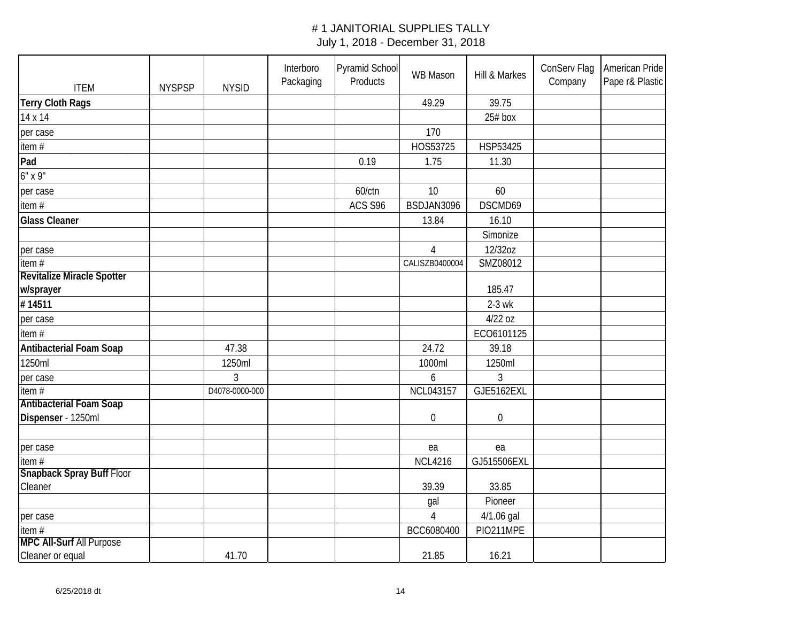| <b>ITEM</b>                                          | <b>NYSPSP</b> | <b>NYSID</b>   | Interboro<br>Packaging | Pyramid School<br>Products | WB Mason         | Hill & Markes    | ConServ Flag<br>Company | American Pride<br>Pape r& Plastic |
|------------------------------------------------------|---------------|----------------|------------------------|----------------------------|------------------|------------------|-------------------------|-----------------------------------|
| <b>Terry Cloth Rags</b>                              |               |                |                        |                            | 49.29            | 39.75            |                         |                                   |
| 14 x 14                                              |               |                |                        |                            |                  | $25#$ box        |                         |                                   |
| per case                                             |               |                |                        |                            | 170              |                  |                         |                                   |
| item#                                                |               |                |                        |                            | HOS53725         | HSP53425         |                         |                                   |
| Pad                                                  |               |                |                        | 0.19                       | 1.75             | 11.30            |                         |                                   |
| $6"$ x 9"                                            |               |                |                        |                            |                  |                  |                         |                                   |
| per case                                             |               |                |                        | 60/ctn                     | 10               | 60               |                         |                                   |
| item#                                                |               |                |                        | ACS S96                    | BSDJAN3096       | DSCMD69          |                         |                                   |
| <b>Glass Cleaner</b>                                 |               |                |                        |                            | 13.84            | 16.10            |                         |                                   |
|                                                      |               |                |                        |                            |                  | Simonize         |                         |                                   |
| per case                                             |               |                |                        |                            | $\overline{4}$   | 12/32oz          |                         |                                   |
| item $#$                                             |               |                |                        |                            | CALISZB0400004   | SMZ08012         |                         |                                   |
| Revitalize Miracle Spotter                           |               |                |                        |                            |                  |                  |                         |                                   |
| w/sprayer                                            |               |                |                        |                            |                  | 185.47           |                         |                                   |
| #14511                                               |               |                |                        |                            |                  | $2-3$ wk         |                         |                                   |
| per case                                             |               |                |                        |                            |                  | 4/22 oz          |                         |                                   |
| item#                                                |               |                |                        |                            |                  | ECO6101125       |                         |                                   |
| <b>Antibacterial Foam Soap</b>                       |               | 47.38          |                        |                            | 24.72            | 39.18            |                         |                                   |
| 1250ml                                               |               | 1250ml         |                        |                            | 1000ml           | 1250ml           |                         |                                   |
| per case                                             |               | $\overline{3}$ |                        |                            | 6                | 3                |                         |                                   |
| item $#$                                             |               | D4078-0000-000 |                        |                            | <b>NCL043157</b> | GJE5162EXL       |                         |                                   |
| <b>Antibacterial Foam Soap</b><br>Dispenser - 1250ml |               |                |                        |                            | $\boldsymbol{0}$ | $\boldsymbol{0}$ |                         |                                   |
|                                                      |               |                |                        |                            |                  |                  |                         |                                   |
| per case                                             |               |                |                        |                            | ea               | ea               |                         |                                   |
| item #                                               |               |                |                        |                            | <b>NCL4216</b>   | GJ515506EXL      |                         |                                   |
| Snapback Spray Buff Floor                            |               |                |                        |                            |                  |                  |                         |                                   |
| Cleaner                                              |               |                |                        |                            | 39.39            | 33.85            |                         |                                   |
|                                                      |               |                |                        |                            | gal              | Pioneer          |                         |                                   |
| per case                                             |               |                |                        |                            | $\overline{4}$   | 4/1.06 gal       |                         |                                   |
| item#<br><b>MPC All-Surf All Purpose</b>             |               |                |                        |                            | BCC6080400       | PIO211MPE        |                         |                                   |
| Cleaner or equal                                     |               | 41.70          |                        |                            | 21.85            | 16.21            |                         |                                   |
|                                                      |               |                |                        |                            |                  |                  |                         |                                   |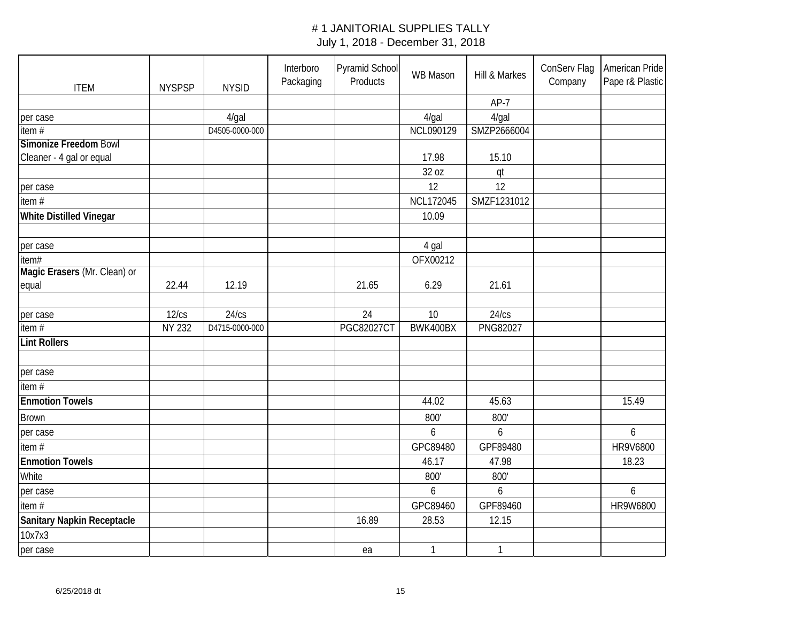| <b>ITEM</b>                    | <b>NYSPSP</b> | <b>NYSID</b>   | Interboro<br>Packaging | Pyramid School<br>Products | <b>WB Mason</b>  | Hill & Markes   | ConServ Flag<br>Company | American Pride<br>Pape r& Plastic |
|--------------------------------|---------------|----------------|------------------------|----------------------------|------------------|-----------------|-------------------------|-----------------------------------|
|                                |               |                |                        |                            |                  | $AP-7$          |                         |                                   |
| per case                       |               | $4$ /gal       |                        |                            | $4$ /gal         | $4$ /gal        |                         |                                   |
| item#                          |               | D4505-0000-000 |                        |                            | NCL090129        | SMZP2666004     |                         |                                   |
| <b>Simonize Freedom Bowl</b>   |               |                |                        |                            |                  |                 |                         |                                   |
| Cleaner - 4 gal or equal       |               |                |                        |                            | 17.98            | 15.10           |                         |                                   |
|                                |               |                |                        |                            | 32 oz            | qt              |                         |                                   |
| per case                       |               |                |                        |                            | 12               | 12              |                         |                                   |
| item $#$                       |               |                |                        |                            | <b>NCL172045</b> | SMZF1231012     |                         |                                   |
| <b>White Distilled Vinegar</b> |               |                |                        |                            | 10.09            |                 |                         |                                   |
|                                |               |                |                        |                            |                  |                 |                         |                                   |
| per case                       |               |                |                        |                            | 4 gal            |                 |                         |                                   |
| item#                          |               |                |                        |                            | OFX00212         |                 |                         |                                   |
| Magic Erasers (Mr. Clean) or   |               |                |                        |                            |                  |                 |                         |                                   |
| equal                          | 22.44         | 12.19          |                        | 21.65                      | 6.29             | 21.61           |                         |                                   |
|                                |               |                |                        |                            |                  |                 |                         |                                   |
| per case                       | 12/cs         | 24/cs          |                        | 24                         | 10               | 24/cs           |                         |                                   |
| item $#$                       | <b>NY 232</b> | D4715-0000-000 |                        | <b>PGC82027CT</b>          | BWK400BX         | <b>PNG82027</b> |                         |                                   |
| <b>Lint Rollers</b>            |               |                |                        |                            |                  |                 |                         |                                   |
|                                |               |                |                        |                            |                  |                 |                         |                                   |
| per case                       |               |                |                        |                            |                  |                 |                         |                                   |
| item#                          |               |                |                        |                            |                  |                 |                         |                                   |
| <b>Enmotion Towels</b>         |               |                |                        |                            | 44.02            | 45.63           |                         | 15.49                             |
| <b>Brown</b>                   |               |                |                        |                            | 800'             | 800'            |                         |                                   |
| per case                       |               |                |                        |                            | 6                | 6               |                         | 6                                 |
| item#                          |               |                |                        |                            | GPC89480         | GPF89480        |                         | HR9V6800                          |
| <b>Enmotion Towels</b>         |               |                |                        |                            | 46.17            | 47.98           |                         | 18.23                             |
| White                          |               |                |                        |                            | 800'             | 800'            |                         |                                   |
| per case                       |               |                |                        |                            | 6                | 6               |                         | 6                                 |
| item#                          |               |                |                        |                            | GPC89460         | GPF89460        |                         | HR9W6800                          |
| Sanitary Napkin Receptacle     |               |                |                        | 16.89                      | 28.53            | 12.15           |                         |                                   |
| 10x7x3                         |               |                |                        |                            |                  |                 |                         |                                   |
| per case                       |               |                |                        | ea                         | $\mathbf{1}$     | $\mathbf{1}$    |                         |                                   |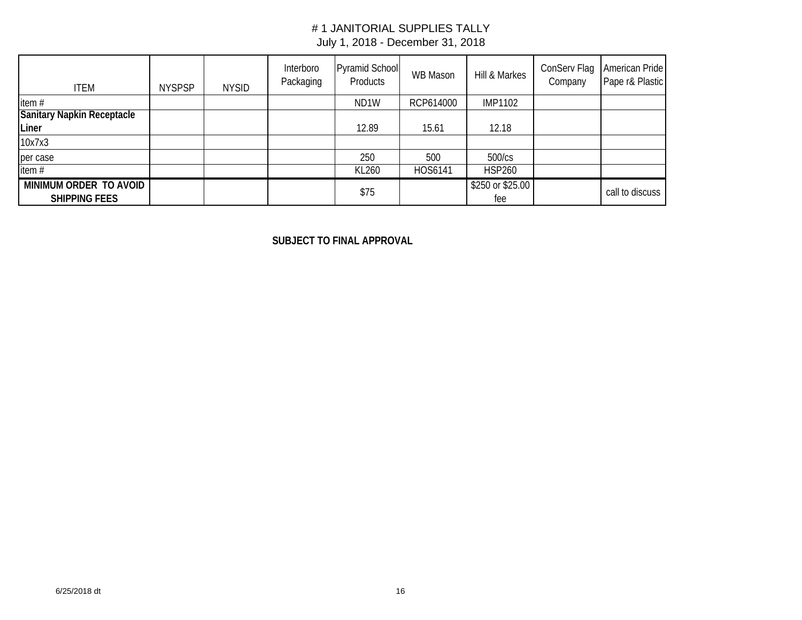| <b>ITEM</b>                                    | <b>NYSPSP</b> | <b>NYSID</b> | Interboro<br>Packaging | <b>Pyramid School</b><br>Products | WB Mason  | Hill & Markes           | ConServ Flag<br>Company | American Pride<br>Pape r& Plastic |
|------------------------------------------------|---------------|--------------|------------------------|-----------------------------------|-----------|-------------------------|-------------------------|-----------------------------------|
| item#                                          |               |              |                        | ND <sub>1</sub> W                 | RCP614000 | <b>IMP1102</b>          |                         |                                   |
| <b>Sanitary Napkin Receptacle</b><br>Liner     |               |              |                        | 12.89                             | 15.61     | 12.18                   |                         |                                   |
| 10x7x3                                         |               |              |                        |                                   |           |                         |                         |                                   |
| per case                                       |               |              |                        | 250                               | 500       | 500/cs                  |                         |                                   |
| item#                                          |               |              |                        | KL260                             | HOS6141   | <b>HSP260</b>           |                         |                                   |
| MINIMUM ORDER TO AVOID<br><b>SHIPPING FEES</b> |               |              |                        | \$75                              |           | \$250 or \$25.00<br>fee |                         | call to discuss                   |

**SUBJECT TO FINAL APPROVAL**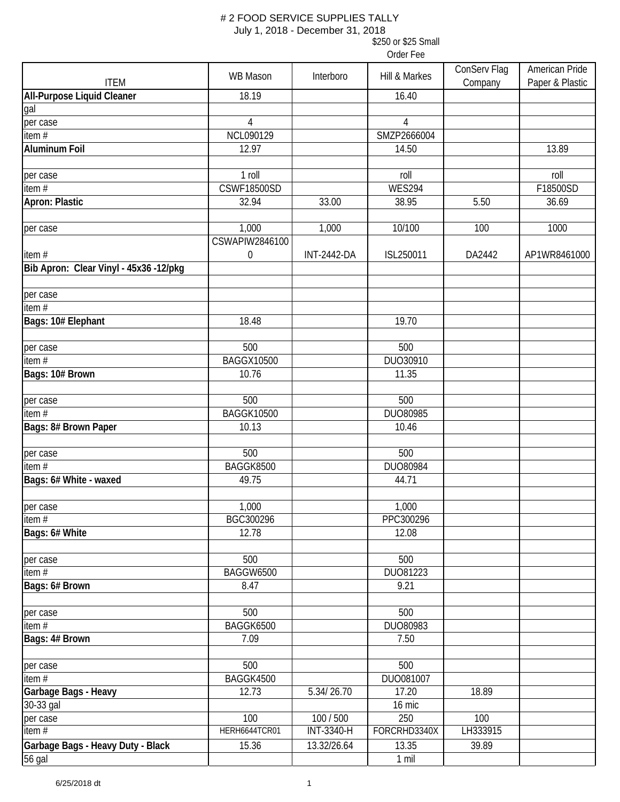July 1, 2018 - December 31, 2018

\$250 or \$25 Small

| <b>ITEM</b>                            | <b>WB Mason</b>         | Interboro          | Hill & Markes | ConServ Flag<br>Company | American Pride<br>Paper & Plastic |
|----------------------------------------|-------------------------|--------------------|---------------|-------------------------|-----------------------------------|
| <b>All-Purpose Liquid Cleaner</b>      | 18.19                   |                    | 16.40         |                         |                                   |
| gal                                    |                         |                    |               |                         |                                   |
| per case                               | 4                       |                    | 4             |                         |                                   |
| item $#$                               | NCL090129               |                    | SMZP2666004   |                         |                                   |
| <b>Aluminum Foil</b>                   | 12.97                   |                    | 14.50         |                         | 13.89                             |
|                                        |                         |                    |               |                         |                                   |
| per case                               | 1 roll                  |                    | roll          |                         | roll                              |
| item $\overline{H}$                    | <b>CSWF18500SD</b>      |                    | <b>WES294</b> |                         | F18500SD                          |
| Apron: Plastic                         | 32.94                   | 33.00              | 38.95         | 5.50                    | 36.69                             |
| per case                               | 1,000<br>CSWAPIW2846100 | 1,000              | 10/100        | 100                     | 1000                              |
| item#                                  | $\boldsymbol{0}$        | <b>INT-2442-DA</b> | ISL250011     | DA2442                  | AP1WR8461000                      |
| Bib Apron: Clear Vinyl - 45x36 -12/pkg |                         |                    |               |                         |                                   |
|                                        |                         |                    |               |                         |                                   |
| per case                               |                         |                    |               |                         |                                   |
| item $#$                               |                         |                    |               |                         |                                   |
| Bags: 10# Elephant                     | 18.48                   |                    | 19.70         |                         |                                   |
| per case                               | 500                     |                    | 500           |                         |                                   |
| item $\overline{H}$                    | <b>BAGGX10500</b>       |                    | DUO30910      |                         |                                   |
| Bags: 10# Brown                        | 10.76                   |                    | 11.35         |                         |                                   |
|                                        |                         |                    |               |                         |                                   |
| per case                               | 500                     |                    | 500           |                         |                                   |
| item $#$                               | <b>BAGGK10500</b>       |                    | DUO80985      |                         |                                   |
| Bags: 8# Brown Paper                   | 10.13                   |                    | 10.46         |                         |                                   |
| per case                               | 500                     |                    | 500           |                         |                                   |
| item#                                  | BAGGK8500               |                    | DUO80984      |                         |                                   |
| Bags: 6# White - waxed                 | 49.75                   |                    | 44.71         |                         |                                   |
|                                        |                         |                    |               |                         |                                   |
| per case                               | 1,000                   |                    | 1,000         |                         |                                   |
| item#                                  | BGC300296               |                    | PPC300296     |                         |                                   |
| Bags: 6# White                         | 12.78                   |                    | 12.08         |                         |                                   |
|                                        |                         |                    |               |                         |                                   |
| per case                               | 500                     |                    | 500           |                         |                                   |
| item#                                  | <b>BAGGW6500</b>        |                    | DU081223      |                         |                                   |
| Bags: 6# Brown                         | 8.47                    |                    | 9.21          |                         |                                   |
|                                        |                         |                    |               |                         |                                   |
| per case                               | 500                     |                    | 500           |                         |                                   |
| item#                                  | BAGGK6500               |                    | DUO80983      |                         |                                   |
| Bags: 4# Brown                         | 7.09                    |                    | 7.50          |                         |                                   |
|                                        | 500                     |                    | 500           |                         |                                   |
| per case<br>item#                      | BAGGK4500               |                    | DUO081007     |                         |                                   |
| Garbage Bags - Heavy                   | 12.73                   | 5.34/26.70         | 17.20         | 18.89                   |                                   |
| 30-33 gal                              |                         |                    | 16 mic        |                         |                                   |
| per case                               | 100                     | 100 / 500          | 250           | 100                     |                                   |
| item $#$                               | HERH6644TCR01           | <b>INT-3340-H</b>  | FORCRHD3340X  | LH333915                |                                   |
| Garbage Bags - Heavy Duty - Black      | 15.36                   | 13.32/26.64        | 13.35         | 39.89                   |                                   |
| 56 gal                                 |                         |                    | 1 mil         |                         |                                   |
|                                        |                         |                    |               |                         |                                   |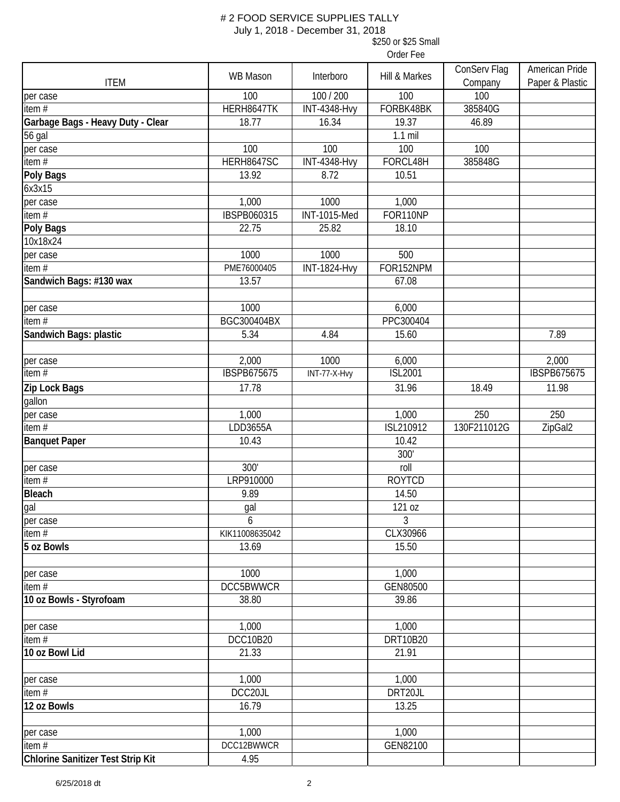#### # 2 FOOD SERVICE SUPPLIES TALLY July 1, 2018 - December 31, 2018

\$250 or \$25 Small

|                                          | <b>WB Mason</b>    | Interboro           | Hill & Markes  | ConServ Flag | American Pride     |
|------------------------------------------|--------------------|---------------------|----------------|--------------|--------------------|
| <b>ITEM</b>                              |                    |                     |                | Company      | Paper & Plastic    |
| per case                                 | 100                | 100 / 200           | 100            | 100          |                    |
| item #                                   | HERH8647TK         | <b>INT-4348-Hvy</b> | FORBK48BK      | 385840G      |                    |
| Garbage Bags - Heavy Duty - Clear        | 18.77              | 16.34               | 19.37          | 46.89        |                    |
| 56 gal                                   |                    |                     | $1.1$ mil      |              |                    |
| per case                                 | 100                | 100                 | 100            | 100          |                    |
| item #                                   | HERH8647SC         | <b>INT-4348-Hvy</b> | FORCL48H       | 385848G      |                    |
| Poly Bags                                | 13.92              | 8.72                | 10.51          |              |                    |
| 6x3x15                                   |                    |                     |                |              |                    |
| per case                                 | 1,000              | 1000                | 1,000          |              |                    |
| item #                                   | <b>IBSPB060315</b> | <b>INT-1015-Med</b> | FOR110NP       |              |                    |
| Poly Bags                                | 22.75              | 25.82               | 18.10          |              |                    |
| 10x18x24                                 |                    |                     |                |              |                    |
| per case                                 | 1000               | 1000                | 500            |              |                    |
| item $#$                                 | PME76000405        | <b>INT-1824-Hvy</b> | FOR152NPM      |              |                    |
| Sandwich Bags: #130 wax                  | 13.57              |                     | 67.08          |              |                    |
|                                          |                    |                     |                |              |                    |
| per case                                 | 1000               |                     | 6,000          |              |                    |
| item $#$                                 | BGC300404BX        |                     | PPC300404      |              |                    |
| Sandwich Bags: plastic                   | 5.34               | 4.84                | 15.60          |              | 7.89               |
|                                          |                    |                     |                |              |                    |
| per case                                 | 2,000              | 1000                | 6,000          |              | 2,000              |
| item $#$                                 | <b>IBSPB675675</b> | INT-77-X-Hvy        | <b>ISL2001</b> |              | <b>IBSPB675675</b> |
| Zip Lock Bags                            | 17.78              |                     | 31.96          | 18.49        | 11.98              |
| gallon                                   |                    |                     |                |              |                    |
| per case                                 | 1,000              |                     | 1,000          | 250          | 250                |
| item $#$                                 | LDD3655A           |                     | ISL210912      | 130F211012G  | ZipGal2            |
| <b>Banquet Paper</b>                     | 10.43              |                     | 10.42          |              |                    |
|                                          |                    |                     | 300'           |              |                    |
| per case                                 | 300'               |                     | roll           |              |                    |
| item#                                    | LRP910000          |                     | <b>ROYTCD</b>  |              |                    |
| <b>Bleach</b>                            | 9.89               |                     | 14.50          |              |                    |
| gal                                      | gal                |                     | 121 oz         |              |                    |
| per case                                 | 6                  |                     | 3              |              |                    |
| item#                                    | KIK11008635042     |                     | CLX30966       |              |                    |
| 5 oz Bowls                               | 13.69              |                     | 15.50          |              |                    |
|                                          |                    |                     |                |              |                    |
| per case                                 | 1000               |                     | 1,000          |              |                    |
| item#                                    | <b>DCC5BWWCR</b>   |                     | GEN80500       |              |                    |
| 10 oz Bowls - Styrofoam                  | 38.80              |                     | 39.86          |              |                    |
|                                          |                    |                     |                |              |                    |
| per case                                 | 1,000              |                     | 1,000          |              |                    |
| item#                                    | <b>DCC10B20</b>    |                     | DRT10B20       |              |                    |
| 10 oz Bowl Lid                           | 21.33              |                     | 21.91          |              |                    |
|                                          |                    |                     |                |              |                    |
| per case                                 | 1,000              |                     | 1,000          |              |                    |
| item#                                    | DCC20JL            |                     | DRT20JL        |              |                    |
| 12 oz Bowls                              | 16.79              |                     | 13.25          |              |                    |
|                                          |                    |                     |                |              |                    |
| per case                                 | 1,000              |                     | 1,000          |              |                    |
| item#                                    | DCC12BWWCR         |                     | GEN82100       |              |                    |
| <b>Chlorine Sanitizer Test Strip Kit</b> | 4.95               |                     |                |              |                    |
|                                          |                    |                     |                |              |                    |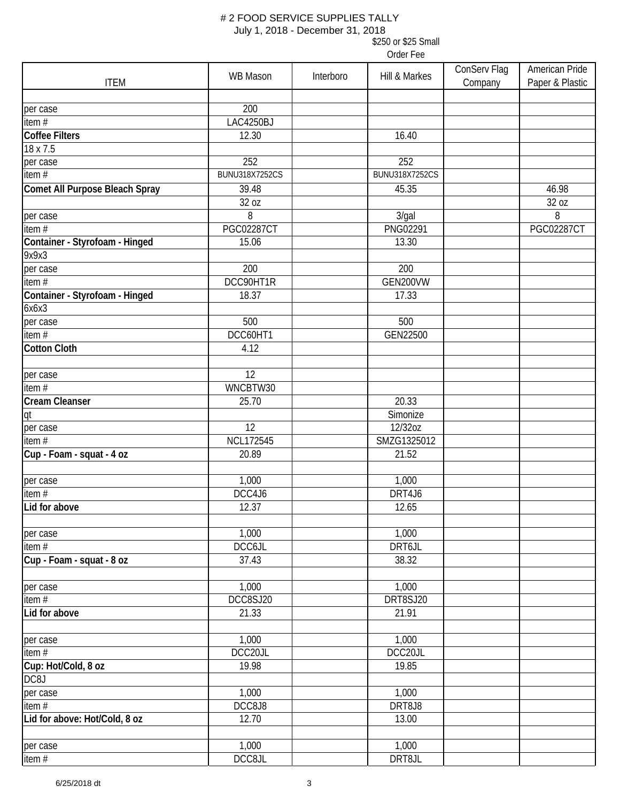July 1, 2018 - December 31, 2018

\$250 or \$25 Small

| <b>ITEM</b>                             | <b>WB Mason</b>       | Interboro | Hill & Markes         | ConServ Flag<br>Company | American Pride<br>Paper & Plastic |
|-----------------------------------------|-----------------------|-----------|-----------------------|-------------------------|-----------------------------------|
|                                         |                       |           |                       |                         |                                   |
| per case                                | 200                   |           |                       |                         |                                   |
| item $#$                                | LAC4250BJ             |           |                       |                         |                                   |
| <b>Coffee Filters</b>                   | 12.30                 |           | 16.40                 |                         |                                   |
| 18 x 7.5                                |                       |           |                       |                         |                                   |
| per case                                | 252                   |           | 252                   |                         |                                   |
| item $#$                                | <b>BUNU318X7252CS</b> |           | <b>BUNU318X7252CS</b> |                         |                                   |
| Comet All Purpose Bleach Spray          | 39.48<br>32 oz        |           | 45.35                 |                         | 46.98<br>32 oz                    |
| per case                                | 8                     |           | 3/gal                 |                         | 8                                 |
| item $#$                                | <b>PGC02287CT</b>     |           | <b>PNG02291</b>       |                         | <b>PGC02287CT</b>                 |
| Container - Styrofoam - Hinged          | 15.06                 |           | 13.30                 |                         |                                   |
| 9x9x3                                   |                       |           |                       |                         |                                   |
| per case                                | 200                   |           | 200                   |                         |                                   |
| item#                                   | DCC90HT1R             |           | GEN200VW              |                         |                                   |
| Container - Styrofoam - Hinged<br>6x6x3 | 18.37                 |           | 17.33                 |                         |                                   |
| per case                                | 500                   |           | 500                   |                         |                                   |
| item $\overline{H}$                     | DCC60HT1              |           | GEN22500              |                         |                                   |
| <b>Cotton Cloth</b>                     | 4.12                  |           |                       |                         |                                   |
|                                         |                       |           |                       |                         |                                   |
| per case                                | 12                    |           |                       |                         |                                   |
| item#                                   | WNCBTW30              |           |                       |                         |                                   |
| Cream Cleanser                          | 25.70                 |           | 20.33                 |                         |                                   |
| qt                                      |                       |           | Simonize              |                         |                                   |
| per case                                | 12                    |           | 12/32oz               |                         |                                   |
| item $#$                                | <b>NCL172545</b>      |           | SMZG1325012           |                         |                                   |
| Cup - Foam - squat - 4 oz               | 20.89                 |           | 21.52                 |                         |                                   |
| per case                                | 1,000                 |           | 1,000                 |                         |                                   |
| item#                                   | DCC4J6                |           | DRT4J6                |                         |                                   |
| Lid for above                           | 12.37                 |           | 12.65                 |                         |                                   |
| per case                                | 1,000                 |           | 1,000                 |                         |                                   |
| item $#$                                | DCC6JL                |           | DRT6JL                |                         |                                   |
| Cup - Foam - squat - 8 oz               | 37.43                 |           | 38.32                 |                         |                                   |
| per case                                | 1,000                 |           | 1,000                 |                         |                                   |
| item#                                   | DCC8SJ20              |           | DRT8SJ20              |                         |                                   |
| Lid for above                           | 21.33                 |           | 21.91                 |                         |                                   |
|                                         |                       |           |                       |                         |                                   |
| per case                                | 1,000                 |           | 1,000                 |                         |                                   |
| item#                                   | DCC20JL               |           | DCC20JL               |                         |                                   |
| Cup: Hot/Cold, 8 oz                     | 19.98                 |           | 19.85                 |                         |                                   |
| DC8J                                    |                       |           |                       |                         |                                   |
| per case                                | 1,000                 |           | 1,000                 |                         |                                   |
| item#                                   | DCC8J8                |           | DRT8J8                |                         |                                   |
| Lid for above: Hot/Cold, 8 oz           | 12.70                 |           | 13.00                 |                         |                                   |
| per case                                | 1,000                 |           | 1,000                 |                         |                                   |
| item#                                   | DCC8JL                |           | DRT8JL                |                         |                                   |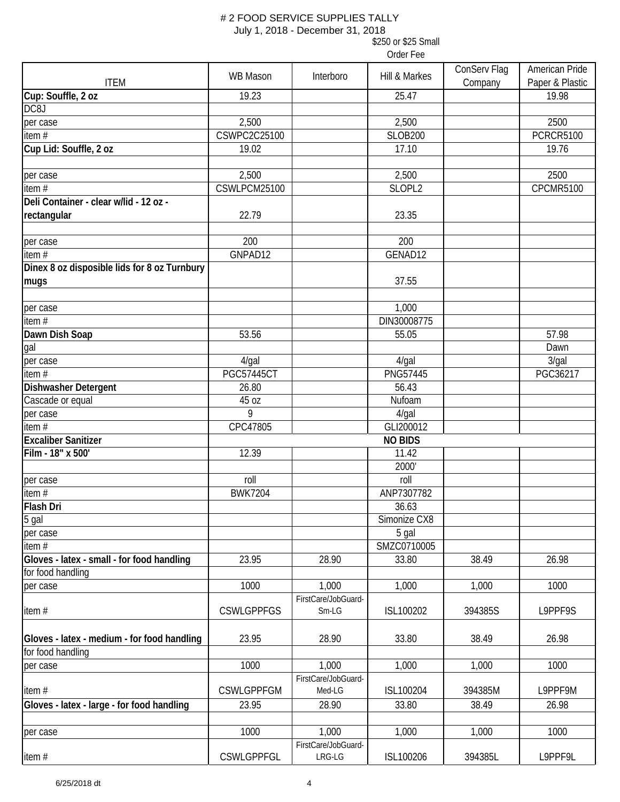July 1, 2018 - December 31, 2018

\$250 or \$25 Small

| <b>ITEM</b>                                  | <b>WB Mason</b>   | Interboro           | Hill & Markes      | ConServ Flag<br>Company | American Pride<br>Paper & Plastic |
|----------------------------------------------|-------------------|---------------------|--------------------|-------------------------|-----------------------------------|
| Cup: Souffle, 2 oz                           | 19.23             |                     | 25.47              |                         | 19.98                             |
| DC8J                                         |                   |                     |                    |                         |                                   |
| per case                                     | 2,500             |                     | 2,500              |                         | 2500                              |
| item#                                        | CSWPC2C25100      |                     | <b>SLOB200</b>     |                         | <b>PCRCR5100</b>                  |
| Cup Lid: Souffle, 2 oz                       | 19.02             |                     | 17.10              |                         | 19.76                             |
|                                              |                   |                     |                    |                         |                                   |
| per case                                     | 2,500             |                     | 2,500              |                         | 2500                              |
| item $#$                                     | CSWLPCM25100      |                     | SLOPL <sub>2</sub> |                         | CPCMR5100                         |
| Deli Container - clear w/lid - 12 oz -       |                   |                     |                    |                         |                                   |
| rectangular                                  | 22.79             |                     | 23.35              |                         |                                   |
|                                              |                   |                     |                    |                         |                                   |
| per case                                     | 200               |                     | 200                |                         |                                   |
| item#                                        | GNPAD12           |                     | GENAD12            |                         |                                   |
| Dinex 8 oz disposible lids for 8 oz Turnbury |                   |                     |                    |                         |                                   |
| mugs                                         |                   |                     | 37.55              |                         |                                   |
|                                              |                   |                     |                    |                         |                                   |
| per case                                     |                   |                     | 1,000              |                         |                                   |
| item#                                        |                   |                     | DIN30008775        |                         |                                   |
| Dawn Dish Soap                               | 53.56             |                     | 55.05              |                         | 57.98                             |
| gal                                          |                   |                     |                    |                         | Dawn                              |
| per case                                     | $4$ /gal          |                     | $4$ /gal           |                         | 3/gal                             |
| item $#$                                     | <b>PGC57445CT</b> |                     | <b>PNG57445</b>    |                         | PGC36217                          |
| Dishwasher Detergent                         | 26.80             |                     | 56.43              |                         |                                   |
| Cascade or equal                             | 45 oz             |                     | Nufoam             |                         |                                   |
| per case                                     | 9                 |                     | $4$ /gal           |                         |                                   |
| item $#$                                     | CPC47805          |                     | GLI200012          |                         |                                   |
| <b>Excaliber Sanitizer</b>                   |                   |                     | <b>NO BIDS</b>     |                         |                                   |
| Film - 18" x 500'                            | 12.39             |                     | 11.42              |                         |                                   |
|                                              |                   |                     | 2000'              |                         |                                   |
| per case                                     | roll              |                     | roll               |                         |                                   |
| item#                                        | <b>BWK7204</b>    |                     | ANP7307782         |                         |                                   |
| Flash Dri                                    |                   |                     | 36.63              |                         |                                   |
| 5 gal                                        |                   |                     | Simonize CX8       |                         |                                   |
| per case                                     |                   |                     | 5 gal              |                         |                                   |
| item#                                        |                   |                     | SMZC0710005        |                         |                                   |
| Gloves - latex - small - for food handling   | 23.95             | 28.90               | 33.80              | 38.49                   | 26.98                             |
| for food handling                            |                   |                     |                    |                         |                                   |
| per case                                     | 1000              | 1,000               | 1,000              | 1,000                   | 1000                              |
|                                              |                   | FirstCare/JobGuard- |                    |                         |                                   |
| item#                                        | <b>CSWLGPPFGS</b> | $Sm-LG$             | ISL100202          | 394385S                 | L9PPF9S                           |
|                                              |                   |                     |                    |                         |                                   |
| Gloves - latex - medium - for food handling  | 23.95             | 28.90               | 33.80              | 38.49                   | 26.98                             |
| for food handling                            |                   |                     |                    |                         |                                   |
| per case                                     | 1000              | 1,000               | 1,000              | 1,000                   | 1000                              |
|                                              |                   | FirstCare/JobGuard- |                    |                         |                                   |
| item#                                        | <b>CSWLGPPFGM</b> | Med-LG              | ISL100204          | 394385M                 | L9PPF9M                           |
| Gloves - latex - large - for food handling   | 23.95             | 28.90               | 33.80              | 38.49                   | 26.98                             |
|                                              |                   |                     |                    |                         |                                   |
| per case                                     | 1000              | 1,000               | 1,000              | 1,000                   | 1000                              |
|                                              |                   | FirstCare/JobGuard- |                    |                         |                                   |
| item#                                        | <b>CSWLGPPFGL</b> | LRG-LG              | ISL100206          | 394385L                 | L9PPF9L                           |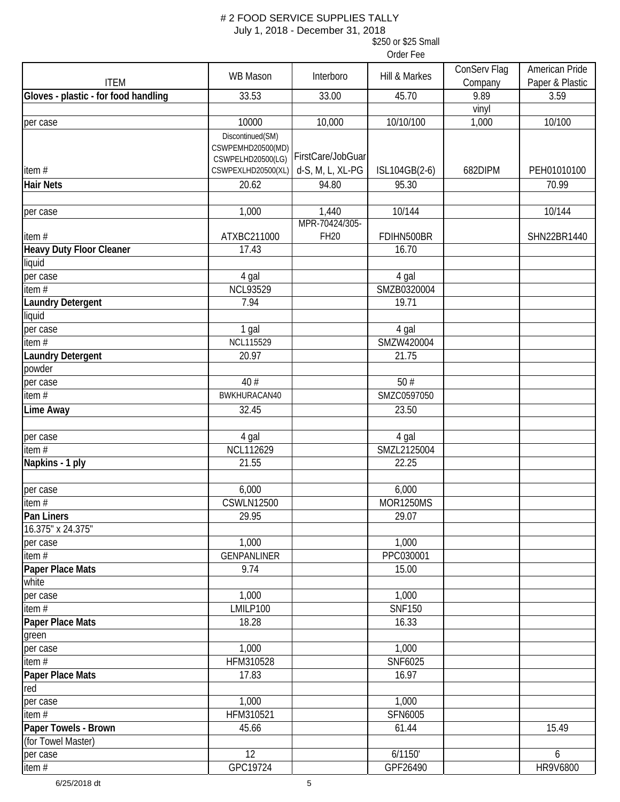July 1, 2018 - December 31, 2018

\$250 or \$25 Small

| <b>ITEM</b>                          | WB Mason                                                   | Interboro                     | Hill & Markes    | ConServ Flag<br>Company | American Pride<br>Paper & Plastic |
|--------------------------------------|------------------------------------------------------------|-------------------------------|------------------|-------------------------|-----------------------------------|
| Gloves - plastic - for food handling | 33.53                                                      | 33.00                         | 45.70            | 9.89                    | 3.59                              |
|                                      |                                                            |                               |                  | vinyl                   |                                   |
| per case                             | 10000                                                      | 10,000                        | 10/10/100        | 1,000                   | 10/100                            |
|                                      | Discontinued(SM)<br>CSWPEMHD20500(MD)<br>CSWPELHD20500(LG) | FirstCare/JobGuar             |                  |                         |                                   |
| item $#$                             | CSWPEXLHD20500(XL)                                         | d-S, M, L, XL-PG              | ISL104GB(2-6)    | 682DIPM                 | PEH01010100                       |
| <b>Hair Nets</b>                     | 20.62                                                      | 94.80                         | 95.30            |                         | 70.99                             |
| per case                             | 1,000                                                      | 1,440                         | 10/144           |                         | 10/144                            |
| item#                                | ATXBC211000                                                | MPR-70424/305-<br><b>FH20</b> | FDIHN500BR       |                         | SHN22BR1440                       |
| <b>Heavy Duty Floor Cleaner</b>      | 17.43                                                      |                               | 16.70            |                         |                                   |
| liquid                               |                                                            |                               |                  |                         |                                   |
| per case                             | 4 gal                                                      |                               | 4 gal            |                         |                                   |
| item#                                | <b>NCL93529</b>                                            |                               | SMZB0320004      |                         |                                   |
| <b>Laundry Detergent</b>             | 7.94                                                       |                               | 19.71            |                         |                                   |
| liquid                               |                                                            |                               |                  |                         |                                   |
| per case                             | 1 gal                                                      |                               | 4 gal            |                         |                                   |
| item $#$                             | <b>NCL115529</b>                                           |                               | SMZW420004       |                         |                                   |
| <b>Laundry Detergent</b>             | 20.97                                                      |                               | 21.75            |                         |                                   |
| powder                               |                                                            |                               |                  |                         |                                   |
| per case                             | 40 #                                                       |                               | 50#              |                         |                                   |
| item#                                | BWKHURACAN40                                               |                               | SMZC0597050      |                         |                                   |
| Lime Away                            | 32.45                                                      |                               | 23.50            |                         |                                   |
| per case                             | 4 gal                                                      |                               | 4 gal            |                         |                                   |
| item $#$                             | <b>NCL112629</b>                                           |                               | SMZL2125004      |                         |                                   |
| Napkins - 1 ply                      | 21.55                                                      |                               | 22.25            |                         |                                   |
| per case                             | 6,000                                                      |                               | 6,000            |                         |                                   |
| item $#$                             | <b>CSWLN12500</b>                                          |                               | <b>MOR1250MS</b> |                         |                                   |
| Pan Liners                           | 29.95                                                      |                               | 29.07            |                         |                                   |
| 16.375" x 24.375"                    |                                                            |                               |                  |                         |                                   |
| per case                             | 1,000                                                      |                               | 1,000            |                         |                                   |
| item $#$                             | <b>GENPANLINER</b>                                         |                               | PPC030001        |                         |                                   |
| Paper Place Mats<br>white            | 9.74                                                       |                               | 15.00            |                         |                                   |
| per case                             | 1,000                                                      |                               | 1,000            |                         |                                   |
| item#                                | LMILP100                                                   |                               | <b>SNF150</b>    |                         |                                   |
| <b>Paper Place Mats</b>              | 18.28                                                      |                               | 16.33            |                         |                                   |
| green                                |                                                            |                               |                  |                         |                                   |
| per case                             | 1,000                                                      |                               | 1,000            |                         |                                   |
| item#                                | HFM310528                                                  |                               | SNF6025          |                         |                                   |
| Paper Place Mats                     | 17.83                                                      |                               | 16.97            |                         |                                   |
| red                                  |                                                            |                               |                  |                         |                                   |
| per case                             | 1,000                                                      |                               | 1,000            |                         |                                   |
| item#                                | HFM310521                                                  |                               | SFN6005          |                         |                                   |
| Paper Towels - Brown                 | 45.66                                                      |                               | 61.44            |                         | 15.49                             |
| (for Towel Master)                   |                                                            |                               |                  |                         |                                   |
| per case                             | 12                                                         |                               | 6/1150'          |                         | 6                                 |
| item#                                | GPC19724                                                   |                               | GPF26490         |                         | <b>HR9V6800</b>                   |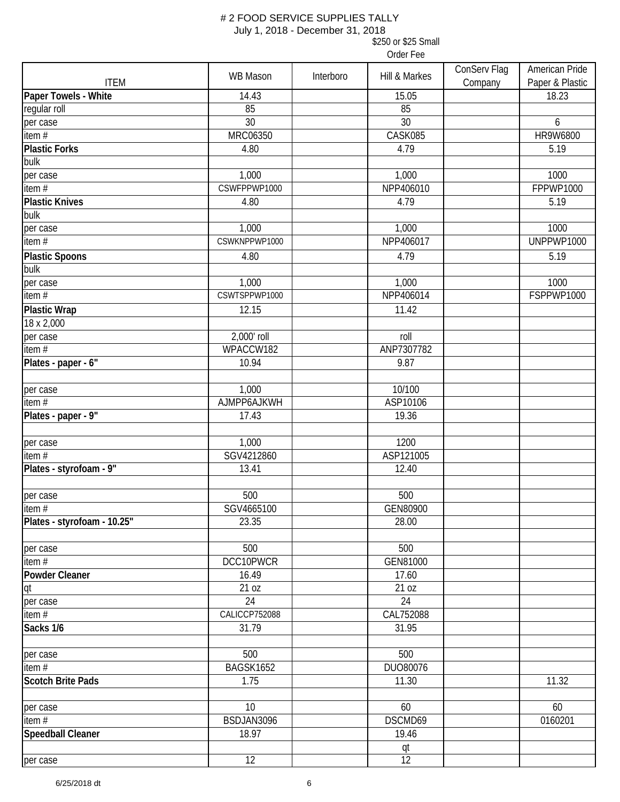July 1, 2018 - December 31, 2018

\$250 or \$25 Small

| <b>ITEM</b>                 | <b>WB Mason</b> | Interboro | Hill & Markes | ConServ Flag<br>Company | American Pride<br>Paper & Plastic |
|-----------------------------|-----------------|-----------|---------------|-------------------------|-----------------------------------|
| Paper Towels - White        | 14.43           |           | 15.05         |                         | 18.23                             |
| regular roll                | 85              |           | 85            |                         |                                   |
| per case                    | 30              |           | 30            |                         | 6                                 |
| item#                       | MRC06350        |           | CASK085       |                         | HR9W6800                          |
| <b>Plastic Forks</b>        | 4.80            |           | 4.79          |                         | 5.19                              |
| bulk                        |                 |           |               |                         |                                   |
| per case                    | 1,000           |           | 1,000         |                         | 1000                              |
| item#                       | CSWFPPWP1000    |           | NPP406010     |                         | FPPWP1000                         |
| <b>Plastic Knives</b>       | 4.80            |           | 4.79          |                         | 5.19                              |
| bulk                        |                 |           |               |                         |                                   |
| per case                    | 1,000           |           | 1,000         |                         | 1000                              |
| item#                       | CSWKNPPWP1000   |           | NPP406017     |                         | UNPPWP1000                        |
| <b>Plastic Spoons</b>       | 4.80            |           | 4.79          |                         | 5.19                              |
| bulk                        |                 |           |               |                         |                                   |
| per case                    | 1,000           |           | 1,000         |                         | 1000                              |
| item#                       | CSWTSPPWP1000   |           | NPP406014     |                         | FSPPWP1000                        |
| <b>Plastic Wrap</b>         | 12.15           |           | 11.42         |                         |                                   |
| 18 x 2,000                  |                 |           |               |                         |                                   |
| per case                    | 2,000' roll     |           | roll          |                         |                                   |
| item $#$                    | WPACCW182       |           | ANP7307782    |                         |                                   |
| Plates - paper - 6"         | 10.94           |           | 9.87          |                         |                                   |
|                             |                 |           |               |                         |                                   |
| per case                    | 1,000           |           | 10/100        |                         |                                   |
| item $#$                    | AJMPP6AJKWH     |           | ASP10106      |                         |                                   |
| Plates - paper - 9"         | 17.43           |           | 19.36         |                         |                                   |
|                             |                 |           |               |                         |                                   |
| per case                    | 1,000           |           | 1200          |                         |                                   |
| item $\overline{H}$         | SGV4212860      |           | ASP121005     |                         |                                   |
| Plates - styrofoam - 9"     | 13.41           |           | 12.40         |                         |                                   |
|                             |                 |           |               |                         |                                   |
| per case                    | 500             |           | 500           |                         |                                   |
| item $#$                    | SGV4665100      |           | GEN80900      |                         |                                   |
| Plates - styrofoam - 10.25" | 23.35           |           | 28.00         |                         |                                   |
|                             |                 |           |               |                         |                                   |
| per case                    | 500             |           | 500           |                         |                                   |
| item $#$                    | DCC10PWCR       |           | GEN81000      |                         |                                   |
| <b>Powder Cleaner</b>       | 16.49           |           | 17.60         |                         |                                   |
| qt                          | 21 oz           |           | 21 oz         |                         |                                   |
| per case                    | 24              |           | 24            |                         |                                   |
| item#                       | CALICCP752088   |           | CAL752088     |                         |                                   |
| Sacks 1/6                   | 31.79           |           | 31.95         |                         |                                   |
|                             |                 |           |               |                         |                                   |
| per case                    | 500             |           | 500           |                         |                                   |
| item#                       | BAGSK1652       |           | DUO80076      |                         |                                   |
| <b>Scotch Brite Pads</b>    | 1.75            |           | 11.30         |                         | 11.32                             |
|                             |                 |           |               |                         |                                   |
| per case                    | 10              |           | 60            |                         | 60                                |
| item#                       | BSDJAN3096      |           | DSCMD69       |                         | 0160201                           |
| <b>Speedball Cleaner</b>    | 18.97           |           | 19.46         |                         |                                   |
|                             |                 |           | <u>qt</u>     |                         |                                   |
| per case                    | 12              |           | 12            |                         |                                   |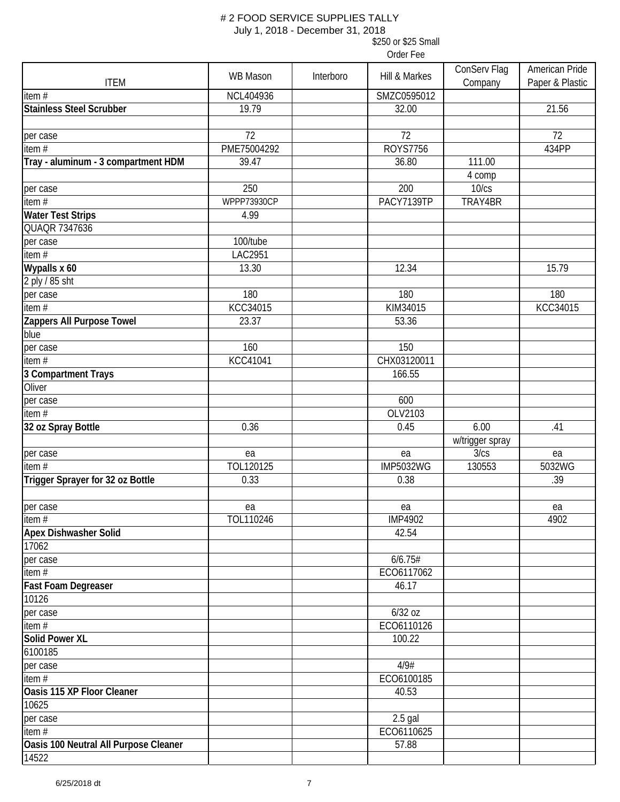July 1, 2018 - December 31, 2018

\$250 or \$25 Small Order Fee

|                                       | <b>WB Mason</b> | Interboro | Hill & Markes    | ConServ Flag    | American Pride  |
|---------------------------------------|-----------------|-----------|------------------|-----------------|-----------------|
| <b>ITEM</b>                           |                 |           |                  | Company         | Paper & Plastic |
| item $#$                              | NCL404936       |           | SMZC0595012      |                 |                 |
| <b>Stainless Steel Scrubber</b>       | 19.79           |           | 32.00            |                 | 21.56           |
|                                       |                 |           |                  |                 |                 |
| per case                              | 72              |           | 72               |                 | 72              |
| item $#$                              | PME75004292     |           | <b>ROYS7756</b>  |                 | 434PP           |
| Tray - aluminum - 3 compartment HDM   | 39.47           |           | 36.80            | 111.00          |                 |
|                                       |                 |           |                  | 4 comp          |                 |
| per case                              | 250             |           | 200              | 10/cs           |                 |
| item $#$                              | WPPP73930CP     |           | PACY7139TP       | TRAY4BR         |                 |
| <b>Water Test Strips</b>              | 4.99            |           |                  |                 |                 |
| QUAQR 7347636                         |                 |           |                  |                 |                 |
| per case                              | 100/tube        |           |                  |                 |                 |
| item $#$                              | LAC2951         |           |                  |                 |                 |
| Wypalls x 60                          | 13.30           |           | 12.34            |                 | 15.79           |
| 2 ply / 85 sht                        |                 |           |                  |                 |                 |
| per case                              | 180             |           | 180              |                 | 180             |
| item $#$                              | KCC34015        |           | KIM34015         |                 | KCC34015        |
| Zappers All Purpose Towel             | 23.37           |           | 53.36            |                 |                 |
| blue                                  |                 |           |                  |                 |                 |
| per case                              | 160             |           | 150              |                 |                 |
| item#                                 | <b>KCC41041</b> |           | CHX03120011      |                 |                 |
| 3 Compartment Trays                   |                 |           | 166.55           |                 |                 |
| Oliver                                |                 |           |                  |                 |                 |
| per case                              |                 |           | 600              |                 |                 |
| item $#$                              |                 |           | OLV2103          |                 |                 |
| 32 oz Spray Bottle                    | 0.36            |           | 0.45             | 6.00            | .41             |
|                                       |                 |           |                  | w/trigger spray |                 |
| per case                              | ea              |           | ea               | 3/cs            | ea              |
| item $#$                              | TOL120125       |           | <b>IMP5032WG</b> | 130553          | 5032WG          |
| Trigger Sprayer for 32 oz Bottle      | 0.33            |           | 0.38             |                 | .39             |
|                                       |                 |           |                  |                 |                 |
| per case                              | ea              |           | ea               |                 | ea              |
| item $#$                              | TOL110246       |           | <b>IMP4902</b>   |                 | 4902            |
| <b>Apex Dishwasher Solid</b>          |                 |           | 42.54            |                 |                 |
| 17062                                 |                 |           |                  |                 |                 |
| per case                              |                 |           | 6/6.75#          |                 |                 |
| item $#$                              |                 |           | ECO6117062       |                 |                 |
| <b>Fast Foam Degreaser</b>            |                 |           | 46.17            |                 |                 |
| 10126                                 |                 |           |                  |                 |                 |
| per case                              |                 |           | $6/32$ oz        |                 |                 |
| item $#$                              |                 |           | ECO6110126       |                 |                 |
| <b>Solid Power XL</b>                 |                 |           | 100.22           |                 |                 |
| 6100185                               |                 |           |                  |                 |                 |
| per case                              |                 |           | 4/9#             |                 |                 |
| item $#$                              |                 |           | ECO6100185       |                 |                 |
| Oasis 115 XP Floor Cleaner            |                 |           | 40.53            |                 |                 |
| 10625                                 |                 |           |                  |                 |                 |
| per case                              |                 |           | $2.5$ gal        |                 |                 |
| item#                                 |                 |           | ECO6110625       |                 |                 |
| Oasis 100 Neutral All Purpose Cleaner |                 |           | 57.88            |                 |                 |
| 14522                                 |                 |           |                  |                 |                 |